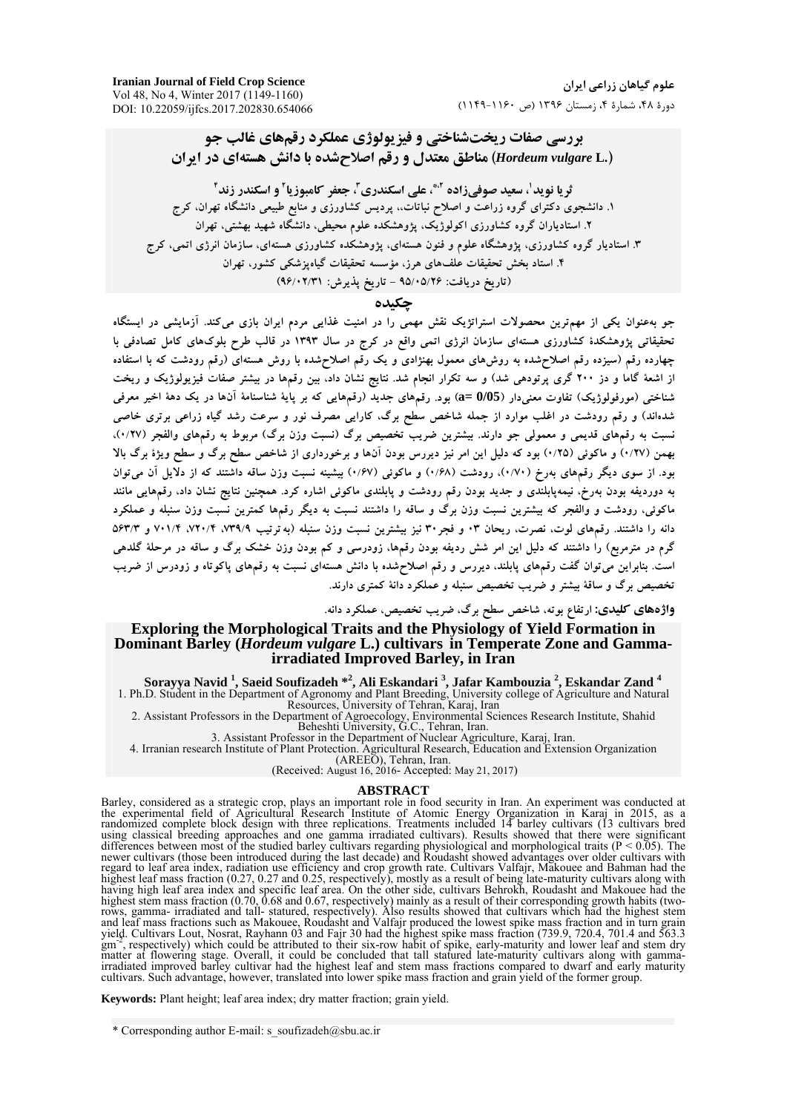**Iranian Journal of Field Crop Science**  Vol 48, No 4, Winter 2017 (1149-1160) DOI: 10.22059/ijfcs.2017.202830.654066

**بررسي صفات ريختشناختي و فيزيولوژي عملكرد رقمهاي غالب جو (.L** *vulgare Hordeum* **(مناطق معتدل <sup>و</sup> رقم اصلاحشده با دانش هستهاي در ايران** 

**<sup>4</sup>و اسكندر زند <sup>2</sup> ، جعفر كامبوزيا <sup>3</sup> ، علي اسكندري ،2\* ، سعيد صوفيزاده <sup>1</sup> ثريا نويد .1 دانشجوي دكتراي گروه زراعت و اصلاح نباتات،، پرديس كشاورزي و منابع طبيعي دانشگاه تهران، كرج .2 استادياران گروه كشاورزي اكولوژيك، پژوهشكده علوم محيطي، دانشگاه شهيد بهشتي، تهران .3 استاديار گروه كشاورزي، پژوهشگاه علوم و فنون هستهاي، پژوهشكده كشاورزي هستهاي، سازمان انرژي اتمي، كرج .4 استاد بخش تحقيقات علفهاي هرز، مؤسسه تحقيقات گياهپزشكي كشور، تهران (تاريخ دريافت: 95/05/26 - تاريخ پذيرش: 96/02/31)** 

### **چكيده**

.<br>جو بهعنوان یکی از مهمترین محصولات استراتژیک نقش مهمی را در امنیت غذایی مردم ایران بازی میکند. آزمایشی در ایستگاه .<br>نحقیقاتی پژوهشکدهٔ کشاورزی هستهای سازمان انرژی اتمی واقع در کرج در سال ۱۳۹۳ در قالب طرح بلوکهای کامل تصادفی با .<br>چهارده رقم (سیزده رقم اصلاحشده به روش۵ای معمول بهنژادی و یک رقم اصلاحشده با روش هستهای (رقم رودشت که با استفاده از اشعهٔ گاما و دز ۲۰۰ گری پرتودهی شد) و سه تکرار انجام شد. نتایج نشان داد، بین رقمها در بیشتر صفات فیزیولوژیک و ریخت شناختی (مورفولوژیک) تفاوت معنیدار (9/05) بود. رقمهای جدید (رقمهایی که بر پایهٔ شناسنامهٔ آنها در یک دههٔ اخیر معرفی شدهاند) و رقم رودشت در اغلب موارد از جمله شاخص سطح برگ، کارایی مصرف نور و سرعت رشد گیاه زراعی برتری خاصی نسبت به رقمهای قدیمی و معمولی جو دارند. بیشترین ضریب تخصیص برگ (نسبت وزن برگ) مربوط به رقمهای والفجر (۰/۲۷). بهمن (۰/۲۷) و ماکوئی (۰/۲۵) بود که دلیل این امر نیز دیررس بودن آنها و برخورداری از شاخص سطح برگ و سطح ویژهٔ برگ بالا بود. از سوی دیگر رقمهای بهرخ (۰/۷۰)، رودشت (۰/۶۸) و ماکوئی (۰/۶۷) بیشینه نسبت وزن ساقه داشتند که از دلایل آن میتوان به دوردیفه بودن بهرخ، نیمهپابلندی و جدید بودن رقم رودشت و پابلندی ماکوئی اشاره کرد. همچنین نتایج نشان داد، رقمهایی مانند ماکوئی، رودشت و والفجر که بیشترین نسبت وزن برگ و ساقه را داشتند نسبت به دیگر رقمها کمترین نسبت وزن سنبله و عملکرد دانه را داشتند. رقمهای لوت، نصرت، ریحان ۰۳ و فجر ۳۰ نیز بیشترین نسبت وزن سنبله (به ترتیب ۷۳۹/۹/ ۷۲۰/۴، ۷۳۹/۹ و ۵۶۳/۳ گرم در مترمربع) را داشتند که دلیل این امر شش ردیفه بودن رقمها، زودرسی و کم بودن وزن خشک برگ و ساقه در مرحلهٔ گلدهی است. بنابراین می توان گفت رقمهای پابلند، دیررس و رقم اصلاحشده با دانش هستهای نسبت به رقمهای پاکوتاه و زودرس از ضریب  **تخصيص برگ <sup>و</sup> ساقة بيشتر <sup>و</sup> ضريب تخصيص سنبله <sup>و</sup> عملكرد دانة كمتري دارند.** 

**واژههاي كليدي: ارتفاع بوته، شاخص سطح برگ، ضريب تخصيص، عملكرد دانه.** 

### **Exploring the Morphological Traits and the Physiology of Yield Formation in Dominant Barley (***Hordeum vulgare* **L.) cultivars in Temperate Zone and Gammairradiated Improved Barley, in Iran**

**Sorayya Navid 1 , Saeid Soufizadeh \*<sup>2</sup> , Ali Eskandari <sup>3</sup> , Jafar Kambouzia 2 , Eskandar Zand <sup>4</sup>** 1. Ph.D. Student in the Department of Agronomy and Plant Breeding, University college of Agriculture and Natural

Resources, University of Tehran, Karaj, Iran

2. Assistant Professors in the Department of Agroecology, Environmental Sciences Research Institute, Shahid Beheshti University, G.C., Tehran, Iran.

3. Assistant Professor in the Department of Nuclear Agriculture, Karaj, Iran.

4. Irranian research Institute of Plant Protection. Agricultural Research, Education and Extension Organization

(AREEO), Tehran, Iran.

(Received: August 16, 2016- Accepted: May 21, 2017)

#### **ABSTRACT**

Barley, considered as a strategic crop, plays an important role in food security in Iran. An experiment was conducted at the experimental field of Agricultural Research Institute of Atomic Energy Organization in Karaj in 2015, as a randomized complete block design with three replications. Treatments included 14 barley cultivars (13 cultivars bred using classical breeding approaches and one gamma irradiated cultivars). Results showed that there were significant differences between most of the studied barley cultivars regarding physiological and morphological traits ( $P < 0.05$ ). The newer cultivars (those been introduced during the last decade) and Roudasht showed advantages over older cultivars with regard to leaf area index, radiation use efficiency and crop growth rate. Cultivars Valfajr, Makouee and Bahman had the highest leaf mass fraction (0.27, 0.27 and 0.25, respectively), mostly as a result of being late-maturity cultivars along with having high leaf area index and specific leaf area. On the other side, cultivars Behrokh, Roudasht and Makouee had the highest stem mass fraction (0.70, 0.68 and 0.67, respectively) mainly as a result of their corresponding growth habits (tworows, gamma- irradiated and tall- statured, respectively). Also results showed that cultivars which had the highest stem and leaf mass fractions such as Makouee, Roudasht and Valfajr produced the lowest spike mass fraction and in turn grain yield. Cultivars Lout, Nosrat, Rayhann 03 and Fajr 30 had the highest spike mass fraction (739.9, 720.4, 701.4 and 563.3 gm-2, respectively) which could be attributed to their six-row habit of spike, early-maturity and lower leaf and stem dry matter at flowering stage. Overall, it could be concluded that tall statured late-maturity cultivars along with gammairradiated improved barley cultivar had the highest leaf and stem mass fractions compared to dwarf and early maturity cultivars. Such advantage, however, translated into lower spike mass fraction and grain yield of the former group.

**Keywords:** Plant height; leaf area index; dry matter fraction; grain yield.

<sup>\*</sup> Corresponding author E-mail: s\_soufizadeh $@$ sbu.ac.ir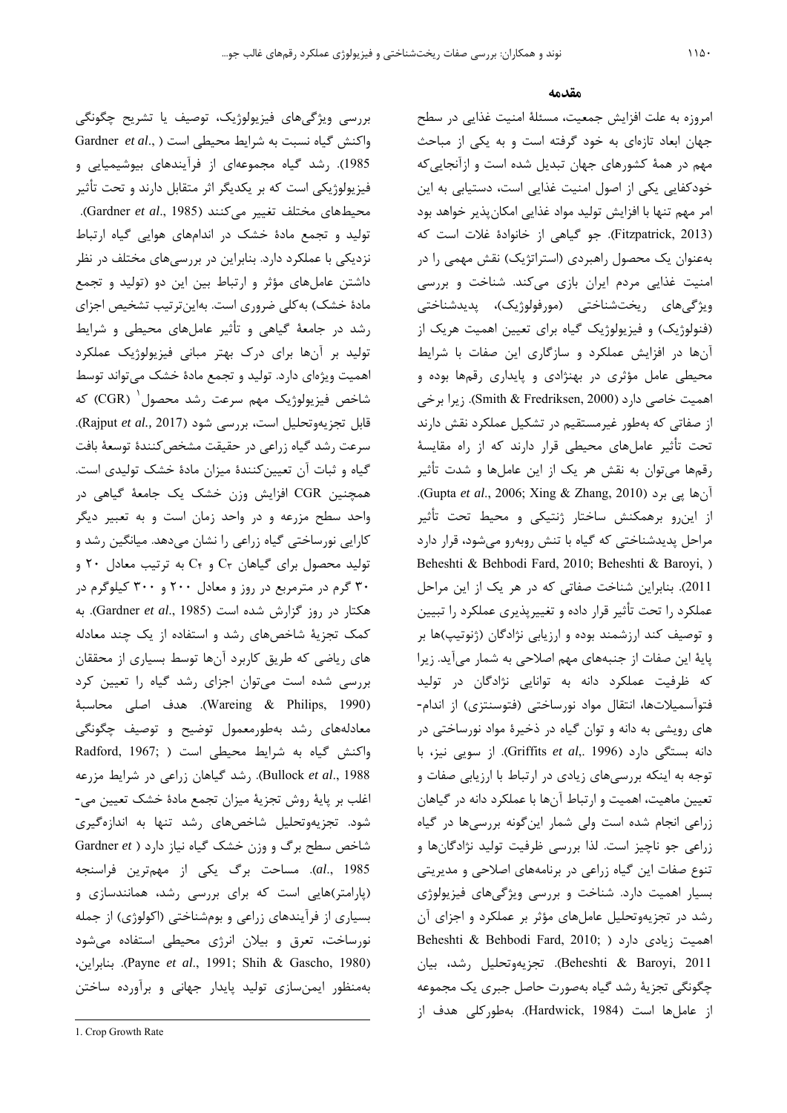بررسي ويژگيهاي فيزيولوژيك، توصيف يا تشريح چگونگي واكنش گياه نسبت به شرايط محيطي است ( .,*al et* Gardner 1985). رشد گياه مجموعهاي از فرآيندهاي بيوشيميايي و فيزيولوژيكي است كه بر يكديگر اثر متقابل دارند و تحت تأثير محيطهاي مختلف تغيير ميكنند (1985 .,*al et* Gardner(. توليد و تجمع مادة خشك در اندامهاي هوايي گياه ارتباط نزديكي با عملكرد دارد. بنابراين در بررسيهاي مختلف در نظر داشتن عاملهاي مؤثر و ارتباط بين اين دو (توليد و تجمع مادة خشك) بهكلي ضروري است. بهاينترتيب تشخيص اجزاي رشد در جامعة گياهي و تأثير عاملهاي محيطي و شرايط توليد بر آنها براي درك بهتر مباني فيزيولوژيك عملكرد اهميت ويژهاي دارد. توليد و تجمع مادة خشك ميتواند توسط شاخص فيزيولوژيک مهم سرعت رشد محصول<sup>(</sup> (CGR) كه قابل تجزيهوتحليل است، بررسي شود (2017 *.,al et* Rajput(. سرعت رشد گياه زراعي در حقيقت مشخصكنندة توسعة بافت گياه و ثبات آن تعيينكنندة ميزان مادة خشك توليدي است. همچنين CGR افزايش وزن خشك يك جامعة گياهي در واحد سطح مزرعه و در واحد زمان است و به تعبير ديگر كارايي نورساختي گياه زراعي را نشان ميدهد. ميانگين رشد و توليد محصول براي گياهان  $C_{f}$  و  $C_{f}$  به ترتيب معادل ٢٠ و 30 گرم در مترمربع در روز و معادل 200 و 300 كيلوگرم در هكتار در روز گزارش شده است (1985 .,*al et* Gardner(. به كمك تجزية شاخصهاي رشد و استفاده از يك چند معادله هاي رياضي كه طريق كاربرد آنها توسط بسياري از محققان بررسي شده است ميتوان اجزاي رشد گياه را تعيين كرد (Wareing  $\&$  Philips, 1990). هدف اصلي محاسبة معادلههاي رشد بهطورمعمول توضيح و توصيف چگونگي واكنش گياه به شرايط محيطي است ( ;1967 ,Radford 1988 .,*al et* Bullock(. رشد گياهان زراعي در شرايط مزرعه اغلب بر پاية روش تجزية ميزان تجمع مادة خشك تعيين مي- شود. تجزيهوتحليل شاخصهاي رشد تنها به اندازهگيري شاخص سطح برگ و وزن خشك گياه نياز دارد ( *et* Gardner 1985 .,*al*(. مساحت برگ يكي از مهمترين فراسنجه (پارامتر)هايي است كه براي بررسي رشد، همانندسازي و بسياري از فرآيندهاي زراعي و بومشناختي (اكولوژي) از جمله نورساخت، تعرق و بيلان انرژي محيطي استفاده ميشود ،بنابراين .)Payne *et al*., 1991; Shih & Gascho, 1980) بهمنظور ايمنسازي توليد پايدار جهاني و برآورده ساختن

 $\overline{a}$ 

#### **مقدمه**

امروزه به علت افزايش جمعيت، مسئلة امنيت غذايي در سطح جهان ابعاد تازهاي به خود گرفته است و به يكي از مباحث مهم در همة كشورهاي جهان تبديل شده است و ازآنجاييكه خودكفايي يكي از اصول امنيت غذايي است، دستيابي به اين امر مهم تنها با افزايش توليد مواد غذايي امكانپذير خواهد بود (2013 ,Fitzpatrick(. جو گياهي از خانوادة غلات است كه بهعنوان يك محصول راهبردي (استراتژيك) نقش مهمي را در امنيت غذايي مردم ايران بازي ميكند. شناخت و بررسي ويژگيهاي ريختشناختي (مورفولوژيك)، پديدشناختي (فنولوژيك) و فيزيولوژيك گياه براي تعيين اهميت هريك از آنها در افزايش عملكرد و سازگاري اين صفات با شرايط محيطي عامل مؤثري در بهنژادي و پايداري رقمها بوده و اهميت خاصي دارد (2000 ,Fredriksen & Smith(. زيرا برخي از صفاتي كه بهطور غيرمستقيم در تشكيل عملكرد نقش دارند تحت تأثير عاملهاي محيطي قرار دارند كه از راه مقايسة رقمها ميتوان به نقش هر يك از اين عاملها و شدت تأثير .(Gupta *et al*., 2006; Xing & Zhang, 2010) برد پي آنها از اينرو برهمكنش ساختار ژنتيكي و محيط تحت تأثير مراحل پديدشناختي كه گياه با تنش روبهرو ميشود، قرار دارد Beheshti & Behbodi Fard, 2010; Beheshti & Baroyi, ) 2011). بنابراين شناخت صفاتي كه در هر يك از اين مراحل عملكرد را تحت تأثير قرار داده و تغييرپذيري عملكرد را تبيين و توصيف كند ارزشمند بوده و ارزيابي نژادگان (ژنوتيپ)ها بر پاية اين صفات از جنبههاي مهم اصلاحي به شمار ميآيد. زيرا كه ظرفيت عملكرد دانه به توانايي نژادگان در توليد فتوآسميلاتها، انتقال مواد نورساختي (فتوسنتزي) از اندام- هاي رويشي به دانه و توان گياه در ذخيرة مواد نورساختي در دانه بستگي دارد (1996 ,.*al et* Griffits(. از سويي نيز، با توجه به اينكه بررسيهاي زيادي در ارتباط با ارزيابي صفات و تعيين ماهيت، اهميت و ارتباط آنها با عملكرد دانه در گياهان زراعي انجام شده است ولي شمار اينگونه بررسيها در گياه زراعي جو ناچيز است. لذا بررسي ظرفيت توليد نژادگانها و تنوع صفات اين گياه زراعي در برنامههاي اصلاحي و مديريتي بسيار اهميت دارد. شناخت و بررسي ويژگيهاي فيزيولوژي رشد در تجزيهوتحليل عاملهاي مؤثر بر عملكرد و اجزاي آن اهميت زيادي دارد ( ;2010 ,Fard Behbodi & Beheshti 2011 ,Baroyi & Beheshti(. تجزيهوتحليل رشد، بيان چگونگي تجزية رشد گياه بهصورت حاصل جبري يك مجموعه از عاملها است (1984 ,Hardwick(. بهطوركلي هدف از

<sup>1.</sup> Crop Growth Rate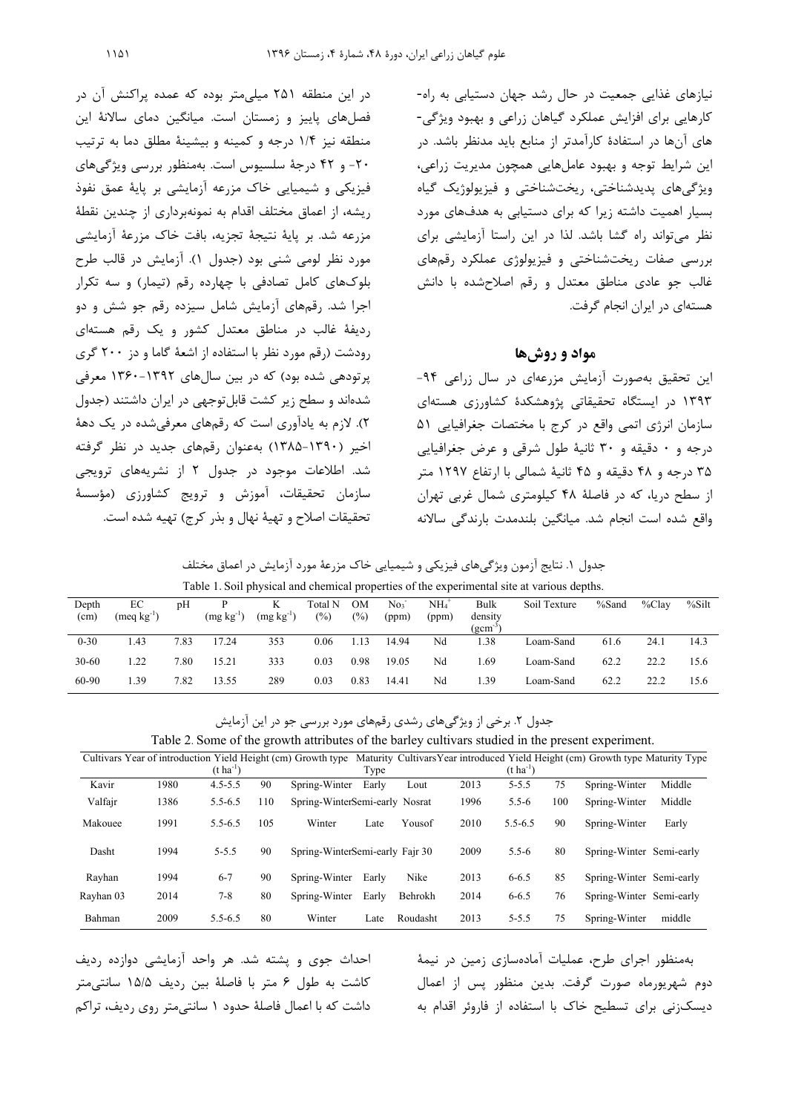نيازهاي غذايي جمعيت در حال رشد جهان دستيابي به راه- كارهايي براي افزايش عملكرد گياهان زراعي و بهبود ويژگي- هاي آنها در استفادة كارآمدتر از منابع بايد مدنظر باشد. در اين شرايط توجه و بهبود عاملهايي همچون مديريت زراعي، ويژگيهاي پديدشناختي، ريختشناختي و فيزيولوژيك گياه بسيار اهميت داشته زيرا كه براي دستيابي به هدفهاي مورد نظر ميتواند راه گشا باشد. لذا در اين راستا آزمايشي براي بررسي صفات ريختشناختي و فيزيولوژي عملكرد رقمهاي غالب جو عادي مناطق معتدل و رقم اصلاحشده با دانش هستهاي در ايران انجام گرفت. **مواد و روشها**  در اين منطقه 251 ميليمتر بوده كه عمده پراكنش آن در فصلهاي پاييز و زمستان است. ميانگين دماي سالانة اين منطقه نيز 1/4 درجه و كمينه و بيشينة مطلق دما به ترتيب -20 و 42 درجة سلسيوس است. بهمنظور بررسي ويژگيهاي فيزيكي و شيميايي خاك مزرعه آزمايشي بر پاية عمق نفوذ ريشه، از اعماق مختلف اقدام به نمونهبرداري از چندين نقطة مزرعه شد. بر پاية نتيجة تجزيه، بافت خاك مزرعة آزمايشي مورد نظر لومي شني بود (جدول 1). آزمايش در قالب طرح بلوكهاي كامل تصادفي با چهارده رقم (تيمار) و سه تكرار اجرا شد. رقمهاي آزمايش شامل سيزده رقم جو شش و دو رديفة غالب در مناطق معتدل كشور و يك رقم هستهاي رودشت (رقم مورد نظر با استفاده از اشعة گاما و دز 200 گري

> اين تحقيق بهصورت آزمايش مزرعهاي در سال زراعي -94 1393 در ايستگاه تحقيقاتي پژوهشكدة كشاورزي هستهاي سازمان انرژي اتمي واقع در كرج با مختصات جغرافيايي 51 درجه و 0 دقيقه و 30 ثانية طول شرقي و عرض جغرافيايي 35 درجه و 48 دقيقه و 45 ثانية شمالي با ارتفاع 1297 متر از سطح دريا، كه در فاصلة 48 كيلومتري شمال غربي تهران واقع شده است انجام شد. ميانگين بلندمدت بارندگي سالانه

جدول .1 نتايج آزمون ويژگيهاي فيزيكي و شيميايي خاك مزرعة مورد آزمايش در اعماق مختلف Table 1. Soil physical and chemical properties of the experimental site at various depths.

|           | Table 1. Son physical and chemical properties of the experimental site at various depths. |      |                |                |         |        |                 |                     |              |              |       |           |       |
|-----------|-------------------------------------------------------------------------------------------|------|----------------|----------------|---------|--------|-----------------|---------------------|--------------|--------------|-------|-----------|-------|
| Depth     | EС                                                                                        | pΗ   |                |                | Total N | OМ     | No <sub>3</sub> | $NH_4$ <sup>+</sup> | Bulk         | Soil Texture | %Sand | $\%$ Clav | %Silt |
| (cm)      | $(meq kg^{-1})$                                                                           |      | $(mg kg^{-1})$ | $(mg kg^{-1})$ | $(\%)$  | $(\%)$ | (ppm)           | (ppm)               | density      |              |       |           |       |
|           |                                                                                           |      |                |                |         |        |                 |                     | $(gcm^{-3})$ |              |       |           |       |
| $0 - 30$  | l.43                                                                                      | 7.83 | 17.24          | 353            | 0.06    | 1.13   | 14.94           | Nd                  | 1.38         | Loam-Sand    | 61.6  | 24.1      | 14.3  |
| $30 - 60$ | 1.22                                                                                      | 7.80 | 15.21          | 333            | 0.03    | 0.98   | 19.05           | Nd                  | 1.69         | Loam-Sand    | 62.2  | 22.2      | 15.6  |
| 60-90     | 1.39                                                                                      | 7.82 | 13.55          | 289            | 0.03    | 0.83   | 14.41           | Nd                  | 1.39         | Loam-Sand    | 62.2  | 22.2      | 15.6  |

جدول ٢. برخي از ويژگيهاي رشدي رقمهاي مورد بررسي جو در اين آزمايش

|           |      |                       |     | Cultivars Year of introduction Yield Height (cm) Growth type |       |          |      |                       |     | Maturity Cultivars Year introduced Yield Height (cm) Growth type Maturity Type |        |
|-----------|------|-----------------------|-----|--------------------------------------------------------------|-------|----------|------|-----------------------|-----|--------------------------------------------------------------------------------|--------|
|           |      | $(t \text{ ha}^{-1})$ |     |                                                              | Type  |          |      | $(t \text{ ha}^{-1})$ |     |                                                                                |        |
| Kavir     | 1980 | $4.5 - 5.5$           | 90  | Spring-Winter                                                | Early | Lout     | 2013 | $5 - 5.5$             | 75  | Spring-Winter                                                                  | Middle |
| Valfajr   | 1386 | $5.5 - 6.5$           | 110 | Spring-WinterSemi-early Nosrat                               |       |          | 1996 | $5.5 - 6$             | 100 | Spring-Winter                                                                  | Middle |
| Makouee   | 1991 | $5.5 - 6.5$           | 105 | Winter                                                       | Late  | Yousof   | 2010 | $5.5 - 6.5$           | 90  | Spring-Winter                                                                  | Early  |
| Dasht     | 1994 | $5 - 5.5$             | 90  | Spring-WinterSemi-early Fair 30                              |       |          | 2009 | $5.5 - 6$             | 80  | Spring-Winter Semi-early                                                       |        |
| Rayhan    | 1994 | $6 - 7$               | 90  | Spring-Winter                                                | Early | Nike     | 2013 | $6 - 6.5$             | 85  | Spring-Winter Semi-early                                                       |        |
| Rayhan 03 | 2014 | $7 - 8$               | 80  | Spring-Winter                                                | Early | Behrokh  | 2014 | $6 - 6.5$             | 76  | Spring-Winter Semi-early                                                       |        |
| Bahman    | 2009 | $5.5 - 6.5$           | 80  | Winter                                                       | Late  | Roudasht | 2013 | $5 - 5.5$             | 75  | Spring-Winter                                                                  | middle |

احداث جوي و پشته شد. هر واحد آزمايشي دوازده رديف كاشت به طول 6 متر با فاصلة بين رديف 15/5 سانتيمتر داشت كه با اعمال فاصلة حدود 1 سانتيمتر روي رديف، تراكم

پرتودهي شده بود) كه در بين سالهاي 1360-1392 معرفي شدهاند و سطح زير كشت قابلتوجهي در ايران داشتند (جدول 2). لازم به يادآوري است كه رقمهاي معرفيشده در يك دهة اخير (1385-1390) بهعنوان رقمهاي جديد در نظر گرفته شد. اطلاعات موجود در جدول 2 از نشريههاي ترويجي سازمان تحقيقات، آموزش و ترويج كشاورزي (مؤسسة تحقيقات اصلاح و تهية نهال و بذر كرج) تهيه شده است.

> بهمنظور اجراي طرح، عمليات آمادهسازي زمين در نيمة دوم شهريورماه صورت گرفت. بدين منظور پس از اعمال ديسكزني براي تسطيح خاك با استفاده از فاروئر اقدام به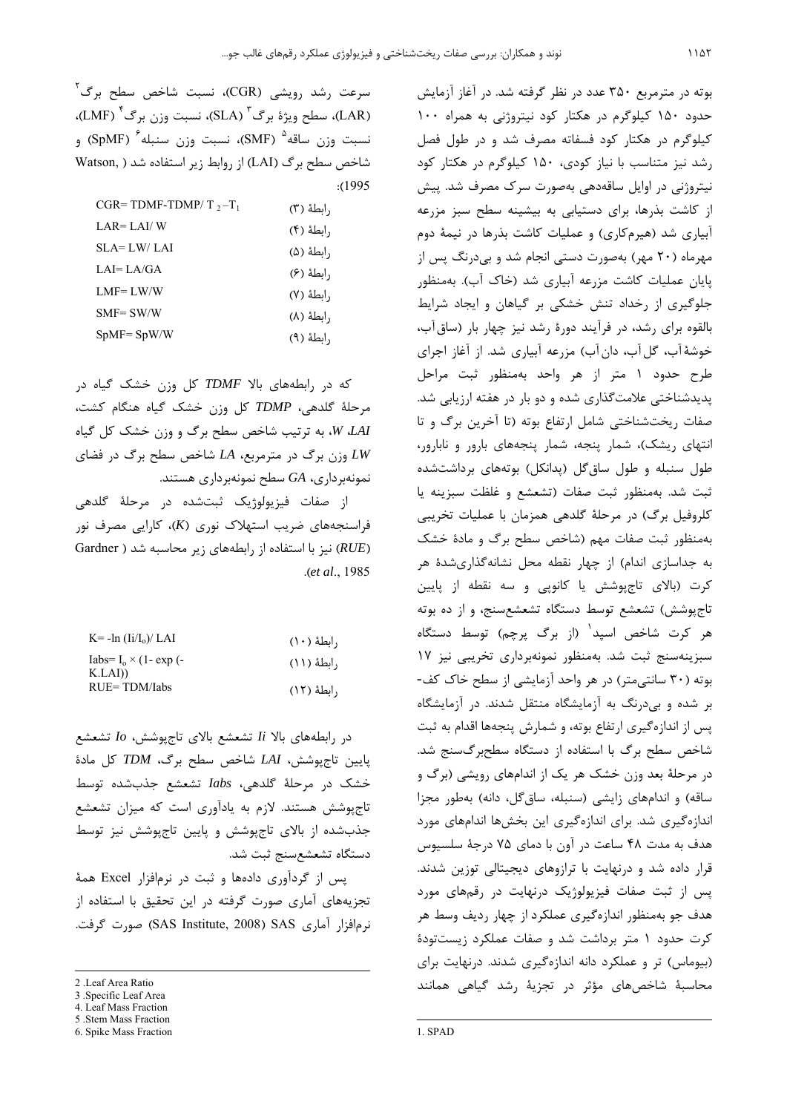سرعت رشد رويشى (CGR)، نسبت شاخص سطح برگ<sup>۲</sup> (LAR)، سطح ويژهٔ برگ<sup>۳</sup> (SLA)، نسبت وزن برگ<sup>۴</sup> (LMF)، نسبت وزن ساقه<sup>۵</sup> (SMF)، نسبت وزن سنبله<sup>۶</sup> (SpMF) و شاخص سطح برگ (LAI (از روابط زير استفاده شد ( ,Watson :(1995

| $CGR = TDMF-TDMP/T, -T_1$ | , ابطهٔ (۳) |
|---------------------------|-------------|
| $LAR = LAI/W$             | , ابطهٔ (۴) |
| SLA= LW/ LAI              | , ابطهٔ (۵) |
| LAI=LA/GA                 | , ابطهٔ (۶) |
| $LMF = LW/W$              | , ابطهٔ (۷) |
| $SMF = SW/W$              | , ابطهٔ (λ) |
| $SpMF = SpW/W$            | ۱٫ابطهٔ (۹) |
|                           |             |

كه در رابطههاي بالا *TDMF* كل وزن خشك گياه در مرحلة گلدهي، *TDMP* كل وزن خشك گياه هنگام كشت، *LAI*، *W*، به ترتيب شاخص سطح برگ و وزن خشك كل گياه *LW* وزن برگ در مترمربع، *LA* شاخص سطح برگ در فضاي نمونهبرداري، *GA* سطح نمونهبرداري هستند.

از صفات فيزيولوژيك ثبتشده در مرحلة گلدهي فراسنجههاي ضريب استهلاك نوري (*K*(، كارايي مصرف نور (*RUE* (نيز با استفاده از رابطههاي زير محاسبه شد ( Gardner .(*et al*., 1985

| $K = -\ln (Li/L_0)/LAI$                                 | رابطهٔ (۱۰)  |
|---------------------------------------------------------|--------------|
| Iabs= $I_0 \times (1 - \exp(-\frac{1}{2})$<br>$K.LAI$ ) | , ابطهٔ (۱۱) |
| $RUE = TDM/Iabs$                                        | , ابطهٔ (۱۲) |

در رابطههاي بالا *Ii* تشعشع بالاي تاجپوشش، *Io* تشعشع پايين تاجپوشش، *LAI* شاخص سطح برگ، *TDM* كل مادة خشك در مرحلة گلدهي، *Iabs* تشعشع جذبشده توسط تاجپوشش هستند. لازم به يادآوري است كه ميزان تشعشع جذبشده از بالاي تاجپوشش و پايين تاجپوشش نيز توسط دستگاه تشعشعسنج ثبت شد.

پس از گردآوري دادهها و ثبت در نرمافزار Excel همة تجزيههاي آماري صورت گرفته در اين تحقيق با استفاده از نرمافزار آماري SAS Institute, 2008) SAS صورت گرفت.

 $\overline{a}$ 

6. Spike Mass Fraction

بوته در مترمربع 350 عدد در نظر گرفته شد. در آغاز آزمايش حدود 150 كيلوگرم در هكتار كود نيتروژني به همراه 100 كيلوگرم در هكتار كود فسفاته مصرف شد و در طول فصل رشد نيز متناسب با نياز كودي، 150 كيلوگرم در هكتار كود نيتروژني در اوايل ساقهدهي بهصورت سرك مصرف شد. پيش از كاشت بذرها، براي دستيابي به بيشينه سطح سبز مزرعه آبياري شد (هيرمكاري) و عمليات كاشت بذرها در نيمة دوم مهرماه (20 مهر) بهصورت دستي انجام شد و بيدرنگ پس از پايان عمليات كاشت مزرعه آبياري شد (خاك آب). بهمنظور جلوگيري از رخداد تنش خشكي بر گياهان و ايجاد شرايط بالقوه براي رشد، در فرآيند دورة رشد نيز چهار بار (ساقآب، خوشة آب، گلآب، دانآب) مزرعه آبياري شد. از آغاز اجراي طرح حدود 1 متر از هر واحد بهمنظور ثبت مراحل پديدشناختي علامتگذاري شده و دو بار در هفته ارزيابي شد. صفات ريختشناختي شامل ارتفاع بوته (تا آخرين برگ و تا انتهاي ريشك)، شمار پنجه، شمار پنجههاي بارور و نابارور، طول سنبله و طول ساقگل (پدانكل) بوتههاي برداشتشده ثبت شد. بهمنظور ثبت صفات (تشعشع و غلظت سبزينه يا كلروفيل برگ) در مرحلة گلدهي همزمان با عمليات تخريبي بهمنظور ثبت صفات مهم (شاخص سطح برگ و مادة خشك به جداسازي اندام) از چهار نقطه محل نشانهگذاريشدة هر كرت (بالاي تاجپوشش يا كانوپي و سه نقطه از پايين تاجپوشش) تشعشع توسط دستگاه تشعشعسنج، و از ده بوته هر كرت شاخص اسپد (از برگ پرچم) توسط دستگاه <sup>1</sup> سبزينهسنج ثبت شد. بهمنظور نمونهبرداري تخريبي نيز 17 بوته (30 سانتيمتر) در هر واحد آزمايشي از سطح خاك كف- بر شده و بيدرنگ به آزمايشگاه منتقل شدند. در آزمايشگاه پس از اندازهگيري ارتفاع بوته، و شمارش پنجهها اقدام به ثبت شاخص سطح برگ با استفاده از دستگاه سطحبرگسنج شد. در مرحلة بعد وزن خشك هر يك از اندامهاي رويشي (برگ و ساقه) و اندامهاي زايشي (سنبله، ساقگل، دانه) بهطور مجزا اندازهگيري شد. براي اندازهگيري اين بخشها اندامهاي مورد هدف به مدت 48 ساعت در آون با دماي 75 درجة سلسيوس قرار داده شد و درنهايت با ترازوهاي ديجيتالي توزين شدند. پس از ثبت صفات فيزيولوژيك درنهايت در رقمهاي مورد هدف جو بهمنظور اندازهگيري عملكرد از چهار رديف وسط هر كرت حدود 1 متر برداشت شد و صفات عملكرد زيستتودة (بيوماس) تر و عملكرد دانه اندازهگيري شدند. درنهايت براي محاسبة شاخصهاي مؤثر در تجزية رشد گياهي همانند

1

<sup>2 .</sup> Leaf Area Ratio

<sup>3 .</sup>Specific Leaf Area

<sup>4.</sup> Leaf Mass Fraction

<sup>5 .</sup>Stem Mass Fraction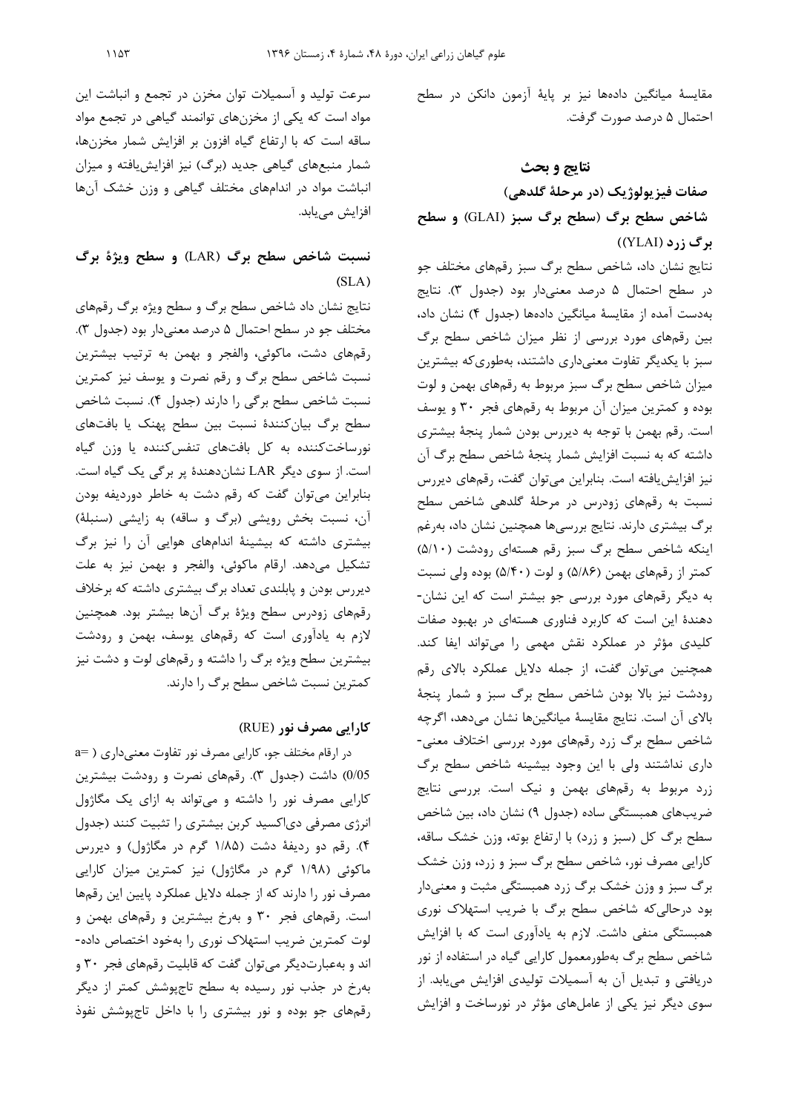مقايسة ميانگين دادهها نيز بر پاية آزمون دانكن در سطح احتمال 5 درصد صورت گرفت.

## **نتايج و بحث**

**صفات فيزيولوژيك (در مرحلة گلدهي) شاخص سطح برگ (سطح برگ سبز (**GLAI **(و سطح برگ زرد (**YLAI **((**

نتايج نشان داد، شاخص سطح برگ سبز رقمهاي مختلف جو در سطح احتمال 5 درصد معنيدار بود (جدول 3). نتايج بهدست آمده از مقايسة ميانگين دادهها (جدول 4) نشان داد، بين رقمهاي مورد بررسي از نظر ميزان شاخص سطح برگ سبز با يكديگر تفاوت معنيداري داشتند، بهطوريكه بيشترين ميزان شاخص سطح برگ سبز مربوط به رقمهاي بهمن و لوت بوده و كمترين ميزان آن مربوط به رقمهاي فجر 30 و يوسف است. رقم بهمن با توجه به ديررس بودن شمار پنجة بيشتري داشته كه به نسبت افزايش شمار پنجة شاخص سطح برگ آن نيز افزايشيافته است. بنابراين ميتوان گفت، رقمهاي ديررس نسبت به رقمهاي زودرس در مرحلة گلدهي شاخص سطح برگ بيشتري دارند. نتايج بررسيها همچنين نشان داد، بهرغم اينكه شاخص سطح برگ سبز رقم هستهاي رودشت (5/10) كمتر از رقمهاي بهمن (5/86) و لوت (5/40) بوده ولي نسبت به ديگر رقمهاي مورد بررسي جو بيشتر است كه اين نشان- دهندة اين است كه كاربرد فناوري هستهاي در بهبود صفات كليدي مؤثر در عملكرد نقش مهمي را ميتواند ايفا كند. همچنين ميتوان گفت، از جمله دلايل عملكرد بالاي رقم رودشت نيز بالا بودن شاخص سطح برگ سبز و شمار پنجة بالاي آن است. نتايج مقايسة ميانگينها نشان ميدهد، اگرچه شاخص سطح برگ زرد رقمهاي مورد بررسي اختلاف معني- داري نداشتند ولي با اين وجود بيشينه شاخص سطح برگ زرد مربوط به رقمهاي بهمن و نيك است. بررسي نتايج ضريبهاي همبستگي ساده (جدول 9) نشان داد، بين شاخص سطح برگ كل (سبز و زرد) با ارتفاع بوته، وزن خشك ساقه، كارايي مصرف نور، شاخص سطح برگ سبز و زرد، وزن خشك برگ سبز و وزن خشك برگ زرد همبستگي مثبت و معنيدار بود درحاليكه شاخص سطح برگ با ضريب استهلاك نوري همبستگي منفي داشت. لازم به يادآوري است كه با افزايش شاخص سطح برگ بهطورمعمول كارايي گياه در استفاده از نور دريافتي و تبديل آن به آسميلات توليدي افزايش مييابد. از سوي ديگر نيز يكي از عاملهاي مؤثر در نورساخت و افزايش

سرعت توليد و آسميلات توان مخزن در تجمع و انباشت اين مواد است كه يكي از مخزنهاي توانمند گياهي در تجمع مواد ساقه است كه با ارتفاع گياه افزون بر افزايش شمار مخزنها، شمار منبعهاي گياهي جديد (برگ) نيز افزايشيافته و ميزان انباشت مواد در اندامهاي مختلف گياهي و وزن خشك آنها افزايش مييابد.

# **نسبت شاخص سطح برگ (**LAR **(و سطح ويژة برگ (**SLA**)**

نتايج نشان داد شاخص سطح برگ و سطح ويژه برگ رقمهاي مختلف جو در سطح احتمال 5 درصد معنيدار بود (جدول 3). رقمهاي دشت، ماكوئي، والفجر و بهمن به ترتيب بيشترين نسبت شاخص سطح برگ و رقم نصرت و يوسف نيز كمترين نسبت شاخص سطح برگي را دارند (جدول 4). نسبت شاخص سطح برگ بيانكنندة نسبت بين سطح پهنك يا بافتهاى نورساختكننده به كل بافتهاى تنفسكننده يا وزن گياه است. از سوي ديگر LAR نشاندهندة پر برگى يك گياه است. بنابراين ميتوان گفت كه رقم دشت به خاطر دورديفه بودن آن، نسبت بخش رويشي (برگ و ساقه) به زايشي (سنبلة) بيشتري داشته كه بيشينة اندامهاي هوايي آن را نيز برگ تشكيل ميدهد. ارقام ماكوئي، والفجر و بهمن نيز به علت ديررس بودن و پابلندي تعداد برگ بيشتري داشته كه برخلاف رقمهاي زودرس سطح ويژة برگ آنها بيشتر بود. همچنين لازم به يادآوري است كه رقمهاي يوسف، بهمن و رودشت بيشترين سطح ويژه برگ را داشته و رقمهاي لوت و دشت نيز كمترين نسبت شاخص سطح برگ را دارند.

## **كارايي مصرف نور (**RUE **(**

در ارقام مختلف جو، كارايي مصرف نور تفاوت معنيداري ( =a 0/05) داشت (جدول 3). رقمهاي نصرت و رودشت بيشترين كارايي مصرف نور را داشته و ميتواند به ازاي يك مگاژول انرژي مصرفي دياكسيد كربن بيشتري را تثبيت كنند (جدول 4). رقم دو رديفة دشت (1/85 گرم در مگاژول) و ديررس ماكوئي (1/98 گرم در مگاژول) نيز كمترين ميزان كارايي مصرف نور را دارند كه از جمله دلايل عملكرد پايين اين رقمها است. رقمهاي فجر 30 و بهرخ بيشترين و رقمهاي بهمن و لوت كمترين ضريب استهلاك نوري را بهخود اختصاص داده- اند و بهعبارتديگر ميتوان گفت كه قابليت رقمهاي فجر 30 و بهرخ در جذب نور رسيده به سطح تاجپوشش كمتر از ديگر رقمهاي جو بوده و نور بيشتري را با داخل تاجپوشش نفوذ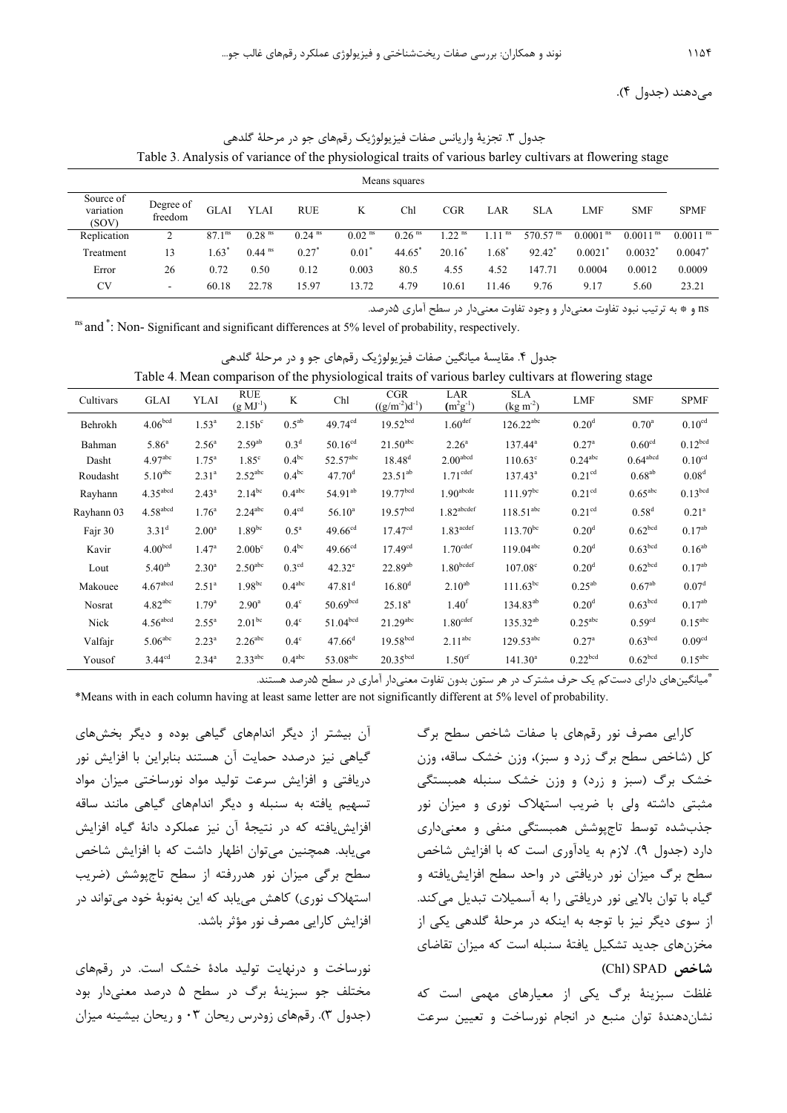ميدهند (جدول 4).

|                                 | Tuoto 3. Thin you of variance of the physiological trans of various outley can value at howering stage |                    |                      |                      |                      |                      |                      |                      |                        |                      |                        |                        |
|---------------------------------|--------------------------------------------------------------------------------------------------------|--------------------|----------------------|----------------------|----------------------|----------------------|----------------------|----------------------|------------------------|----------------------|------------------------|------------------------|
|                                 | Means squares                                                                                          |                    |                      |                      |                      |                      |                      |                      |                        |                      |                        |                        |
| Source of<br>variation<br>(SOV) | Degree of<br>freedom                                                                                   | GLAI               | YLAI                 | <b>RUE</b>           | K                    | Chl                  | CGR                  | LAR                  | <b>SLA</b>             | LMF                  | <b>SMF</b>             | <b>SPMF</b>            |
| Replication                     |                                                                                                        | 87.1 <sup>ns</sup> | $0.28$ <sup>ns</sup> | $0.24$ <sup>ns</sup> | $0.02$ <sup>ns</sup> | $0.26$ <sup>ns</sup> | $1.22$ <sup>ns</sup> | $1.11$ <sup>ns</sup> | $570.57$ <sup>ns</sup> | 0.0001 <sup>ns</sup> | $0.0011$ <sup>ns</sup> | $0.0011$ <sup>ns</sup> |
| Treatment                       | 13                                                                                                     | $1.63^*$           | $0.44$ <sup>ns</sup> | $0.27$ <sup>*</sup>  | $0.01^*$             | 44.65                | $20.16^*$            | $1.68^*$             | 92.42 <sup>*</sup>     | $0.0021^*$           | $0.0032^*$             | 0.0047                 |
| Error                           | 26                                                                                                     | 0.72               | 0.50                 | 0.12                 | 0.003                | 80.5                 | 4.55                 | 4.52                 | 147.71                 | 0.0004               | 0.0012                 | 0.0009                 |
| <b>CV</b>                       | -                                                                                                      | 60.18              | 22.78                | 15.97                | 13.72                | 4.79                 | 10.61                | 11.46                | 9.76                   | 9.17                 | 5.60                   | 23.21                  |

جدول ٣. تجزيهٔ واريانس صفات فيزيولوژيک رقمهاي جو در مرحلهٔ گلدهي Table 3. Analysis of variance of the physiological traits of various barley cultivars at flowering stage

ns و \* به ترتيب نبود تفاوت معنيدار و وجود تفاوت معنيدار در سطح آماري 5درصد.

ns and  $\dot{\cdot}$ : Non- Significant and significant differences at 5% level of probability, respectively.

| جدول ۴. مقايسهٔ ميانگين صفات فيزيولوژيک رقمهای جو و در مرحلهٔ گلدهي                                 |  |  |
|-----------------------------------------------------------------------------------------------------|--|--|
| Table 4. Mean comparison of the physiological traits of various barley cultivars at flowering stage |  |  |
|                                                                                                     |  |  |

| Cultivars  | <b>GLAI</b>            | <b>YLAI</b>       | <b>RUE</b><br>$(g\ M^{J^{-1}})$ | K                  | Chl                    | <b>CGR</b><br>$((g/m^{-2})d^{-1})$ | LAR<br>$(m^2g^{-1})$     | <b>SLA</b><br>$(kg m-2)$ | <b>LMF</b>            | <b>SMF</b>            | <b>SPMF</b>           |
|------------|------------------------|-------------------|---------------------------------|--------------------|------------------------|------------------------------------|--------------------------|--------------------------|-----------------------|-----------------------|-----------------------|
| Behrokh    | 4.06 <sup>bcd</sup>    | 1.53 <sup>a</sup> | $2.15b^c$                       | $0.5^{ab}$         | $49.74^{cd}$           | 19.52 <sup>bcd</sup>               | 1.60 <sup>def</sup>      | $126.22^{abc}$           | 0.20 <sup>d</sup>     | $0.70^{\rm a}$        | 0.10 <sup>cd</sup>    |
| Bahman     | $5.86^{\circ}$         | $2.56^{a}$        | $2.59^{ab}$                     | 0.3 <sup>d</sup>   | $50.16^{cd}$           | $21.50$ <sup>abc</sup>             | 2.26 <sup>a</sup>        | $137.44^a$               | $0.27^{\rm a}$        | 0.60 <sup>cd</sup>    | 0.12 <sup>bcd</sup>   |
| Dasht      | 4.97 <sup>abc</sup>    | $1.75^{\circ}$    | $1.85^\circ$                    | $0.4^{bc}$         | $52.57^{\rm abc}$      | $18.48^{d}$                        | 2.00 <sup>abcd</sup>     | $110.63^{\circ}$         | $0.24$ <sup>abc</sup> | $0.64^{\text{abcd}}$  | 0.10 <sup>cd</sup>    |
| Roudasht   | 5.10 <sup>abc</sup>    | $2.31^{a}$        | $2.52$ <sup>abc</sup>           | $0.4^{bc}$         | 47.70 <sup>d</sup>     | $23.51^{ab}$                       | $1.71^{\text{cdef}}$     | $137.43^a$               | 0.21 <sup>cd</sup>    | $0.68^{ab}$           | 0.08 <sup>d</sup>     |
| Rayhann    | 4.35 <sup>abcd</sup>   | $2.43^a$          | $2.14^{bc}$                     | $0.4^{abc}$        | $54.91^{ab}$           | 19.77 <sup>bcd</sup>               | $1.90^{\text{abcde}}$    | $111.97^{bc}$            | 0.21 <sup>cd</sup>    | $0.65$ <sup>abc</sup> | 0.13 <sup>bcd</sup>   |
| Rayhann 03 | $4.58$ abcd            | 1.76 <sup>a</sup> | $2.24$ <sup>abc</sup>           | 0.4 <sup>cd</sup>  | $56.10^{a}$            | 19.57 <sup>bcd</sup>               | $1.82$ <sup>abcdef</sup> | $118.51^{abc}$           | 0.21 <sup>cd</sup>    | $0.58^{d}$            | 0.21 <sup>a</sup>     |
| Fajr 30    | $3.31^{d}$             | 2.00 <sup>a</sup> | $1.89^{bc}$                     | $0.5^{\mathrm{a}}$ | 49.66 <sup>cd</sup>    | 17.47 <sup>cd</sup>                | $1.83$ <sup>acdef</sup>  | $113.70^{bc}$            | 0.20 <sup>d</sup>     | 0.62 <sup>bcd</sup>   | $0.17^{ab}$           |
| Kavir      | 4.00 <sup>bcd</sup>    | 1.47 <sup>a</sup> | 2.00 <sup>c</sup>               | $0.4^{bc}$         | $49.66^{cd}$           | 17.49 <sup>cd</sup>                | $1.70$ <sup>cdef</sup>   | $119.04^{abc}$           | 0.20 <sup>d</sup>     | 0.63 <sup>bcd</sup>   | $0.16^{ab}$           |
| Lout       | $5.40^{ab}$            | $2.30^{a}$        | 2.50 <sup>abc</sup>             | 0.3 <sup>cd</sup>  | $42.32^e$              | $22.89^{ab}$                       | 1.80 <sub>bcdef</sub>    | $107.08^{\circ}$         | 0.20 <sup>d</sup>     | 0.62 <sup>bcd</sup>   | $0.17^{ab}$           |
| Makouee    | 4.67 <sup>abcd</sup>   | 2.51 <sup>a</sup> | $1.98^{bc}$                     | $0.4^{abc}$        | $47.81$ <sup>d</sup>   | $16.80^{d}$                        | $2.10^{ab}$              | $111.63^{bc}$            | $0.25^{ab}$           | $0.67^{ab}$           | 0.07 <sup>d</sup>     |
| Nosrat     | $4.82$ <sup>abc</sup>  | 1.79 <sup>a</sup> | $2.90^{\text{a}}$               | $0.4^\circ$        | 50.69 <sup>bcd</sup>   | $25.18^{a}$                        | 1.40 <sup>f</sup>        | $134.83^{ab}$            | 0.20 <sup>d</sup>     | 0.63 <sup>bcd</sup>   | $0.17^{ab}$           |
| Nick       | $4.56$ <sup>abcd</sup> | $2.55^{\circ}$    | 2.01 <sup>bc</sup>              | $0.4^\circ$        | 51.04 <sup>bcd</sup>   | $21.29$ <sup>abc</sup>             | $1.80^{\text{cdef}}$     | $135.32^{ab}$            | $0.25$ <sup>abc</sup> | 0.59 <sup>cd</sup>    | $0.15$ <sup>abc</sup> |
| Valfajr    | 5.06 <sup>abc</sup>    | $2.23^{a}$        | $2.26$ <sup>abc</sup>           | $0.4^\circ$        | 47.66 <sup>d</sup>     | 19.58 <sup>bcd</sup>               | $2.11^{\text{abc}}$      | $129.53^{\text{abc}}$    | 0.27 <sup>a</sup>     | 0.63 <sup>bcd</sup>   | 0.09 <sup>cd</sup>    |
| Yousof     | 3.44 <sup>cd</sup>     | $2.34^{a}$        | 2.33 <sup>abc</sup>             | $0.4^{abc}$        | $53.08$ <sup>abc</sup> | 20.35 <sup>bcd</sup>               | 1.50 <sup>ef</sup>       | $141.30^{a}$             | 0.22 <sup>bcd</sup>   | 0.62 <sup>bcd</sup>   | $0.15^{abc}$          |

ميانگينهاي داراي دستكم يك حرف مشترك در هر ستون بدون تفاوت معنيدار آماري در سطح 5درصد هستند. \*

\*Means with in each column having at least same letter are not significantly different at 5% level of probability.

كارايي مصرف نور رقمهاي با صفات شاخص سطح برگ كل (شاخص سطح برگ زرد و سبز)، وزن خشك ساقه، وزن خشك برگ (سبز و زرد) و وزن خشك سنبله همبستگي مثبتي داشته ولي با ضريب استهلاك نوري و ميزان نور جذبشده توسط تاجپوشش همبستگي منفي و معنيداري دارد (جدول 9). لازم به يادآوري است كه با افزايش شاخص سطح برگ ميزان نور دريافتي در واحد سطح افزايشيافته و گياه با توان بالايي نور دريافتي را به آسميلات تبديل ميكند. از سوي ديگر نيز با توجه به اينكه در مرحلة گلدهي يكي از مخزنهاي جديد تشكيل يافتة سنبله است كه ميزان تقاضاي  **(**Chl**)** SPAD **شاخص**

غلظت سبزينة برگ يكي از معيارهاي مهمي است كه نشاندهندة توان منبع در انجام نورساخت و تعيين سرعت

آن بيشتر از ديگر اندامهاي گياهي بوده و ديگر بخشهاي گياهي نيز درصدد حمايت آن هستند بنابراين با افزايش نور دريافتي و افزايش سرعت توليد مواد نورساختي ميزان مواد تسهيم يافته به سنبله و ديگر اندامهاي گياهي مانند ساقه افزايشيافته كه در نتيجة آن نيز عملكرد دانة گياه افزايش مييابد. همچنين ميتوان اظهار داشت كه با افزايش شاخص سطح برگي ميزان نور هدررفته از سطح تاجپوشش (ضريب استهلاك نوري) كاهش مييابد كه اين بهنوبة خود ميتواند در افزايش كارايي مصرف نور مؤثر باشد.

نورساخت و درنهايت توليد مادة خشك است. در رقمهاي مختلف جو سبزينة برگ در سطح 5 درصد معنيدار بود (جدول 3). رقمهاي زودرس ريحان 03 و ريحان بيشينه ميزان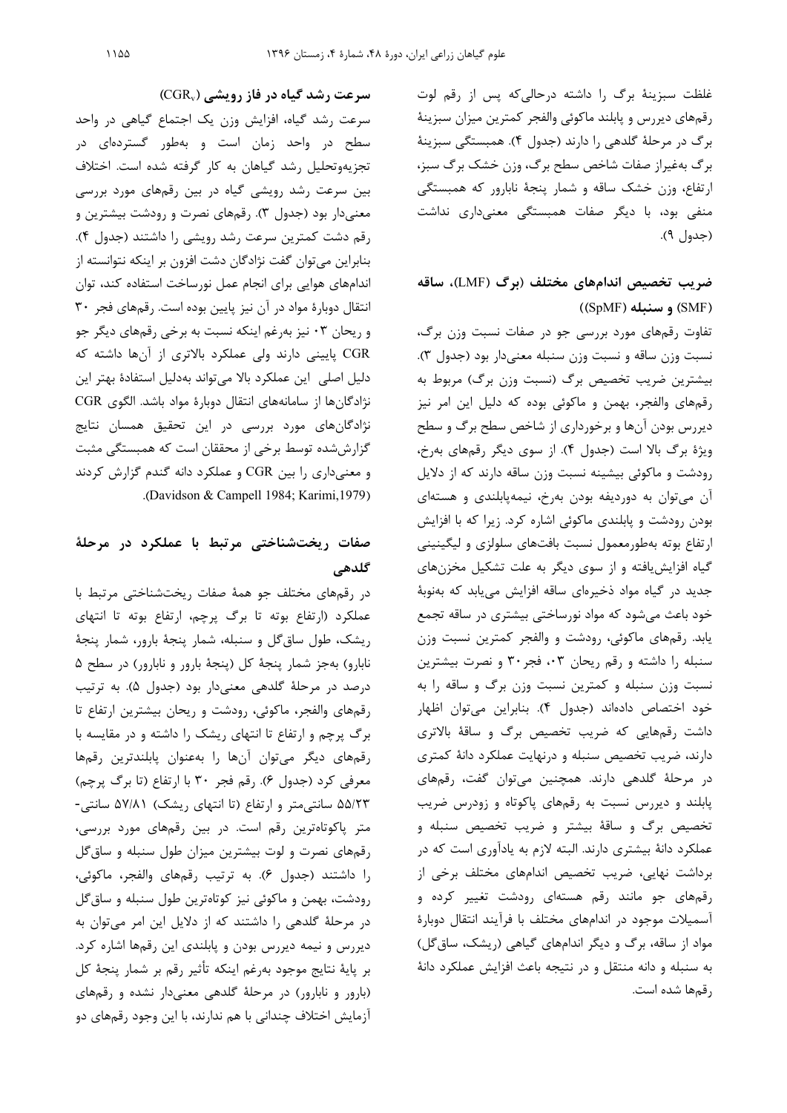غلظت سبزينة برگ را داشته درحاليكه پس از رقم لوت رقمهاي ديررس و پابلند ماكوئي والفجر كمترين ميزان سبزينة برگ در مرحلة گلدهي را دارند (جدول 4). همبستگي سبزينة برگ بهغيراز صفات شاخص سطح برگ، وزن خشك برگ سبز، ارتفاع، وزن خشك ساقه و شمار پنجة نابارور كه همبستگي منفي بود، با ديگر صفات همبستگي معنيداري نداشت (جدول 9).

# **ضريب تخصيص اندامهاي مختلف (برگ (**LMF**(، ساقه (**SMF **(و سنبله (**SpMF **((**

تفاوت رقمهاي مورد بررسي جو در صفات نسبت وزن برگ، نسبت وزن ساقه و نسبت وزن سنبله معنيدار بود (جدول 3). بيشترين ضريب تخصيص برگ (نسبت وزن برگ) مربوط به رقمهاي والفجر، بهمن و ماكوئي بوده كه دليل اين امر نيز ديررس بودن آنها و برخورداري از شاخص سطح برگ و سطح ويژة برگ بالا است (جدول 4). از سوي ديگر رقمهاي بهرخ، رودشت و ماكوئي بيشينه نسبت وزن ساقه دارند كه از دلايل آن ميتوان به دورديفه بودن بهرخ، نيمهپابلندي و هستهاي بودن رودشت و پابلندي ماكوئي اشاره كرد. زيرا كه با افزايش ارتفاع بوته بهطورمعمول نسبت بافتهاي سلولزي و ليگينيني گياه افزايشيافته و از سوي ديگر به علت تشكيل مخزنهاي جديد در گياه مواد ذخيرهاي ساقه افزايش مييابد كه بهنوبة خود باعث ميشود كه مواد نورساختي بيشتري در ساقه تجمع يابد. رقمهاي ماكوئي، رودشت و والفجر كمترين نسبت وزن سنبله را داشته و رقم ريحان ٠٣، فجر٣٠ و نصرت بيشترين نسبت وزن سنبله و كمترين نسبت وزن برگ و ساقه را به خود اختصاص دادهاند (جدول 4). بنابراين ميتوان اظهار داشت رقمهايي كه ضريب تخصيص برگ و ساقة بالاتري دارند، ضريب تخصيص سنبله و درنهايت عملكرد دانة كمتري در مرحلة گلدهي دارند. همچنين ميتوان گفت، رقمهاي پابلند و ديررس نسبت به رقمهاي پاكوتاه و زودرس ضريب تخصيص برگ و ساقة بيشتر و ضريب تخصيص سنبله و عملكرد دانة بيشتري دارند. البته لازم به يادآوري است كه در برداشت نهايي، ضريب تخصيص اندامهاي مختلف برخي از رقمهاي جو مانند رقم هستهاي رودشت تغيير كرده و آسميلات موجود در اندامهاي مختلف با فرآيند انتقال دوبارة مواد از ساقه، برگ و ديگر اندامهاي گياهي (ريشك، ساقگل) به سنبله و دانه منتقل و در نتيجه باعث افزايش عملكرد دانة رقمها شده است.

**سرعت رشد گياه در فاز رويشي (**CGRv **(**

سرعت رشد گياه، افزايش وزن يك اجتماع گياهى در واحد سطح در واحد زمان است و بهطور گستردهاي در تجزيهوتحليل رشد گياهان به كار گرفته شده است. اختلاف بين سرعت رشد رويشي گياه در بين رقمهاي مورد بررسي معنيدار بود (جدول 3). رقمهاي نصرت و رودشت بيشترين و رقم دشت كمترين سرعت رشد رويشي را داشتند (جدول 4). بنابراين ميتوان گفت نژادگان دشت افزون بر اينكه نتوانسته از اندامهاي هوايي براي انجام عمل نورساخت استفاده كند، توان انتقال دوبارة مواد در آن نيز پايين بوده است. رقمهاي فجر 30 و ريحان 03 نيز بهرغم اينكه نسبت به برخي رقمهاي ديگر جو CGR پاييني دارند ولي عملكرد بالاتري از آنها داشته كه دليل اصلي اين عملكرد بالا ميتواند بهدليل استفادة بهتر اين نژادگانها از سامانههاي انتقال دوبارة مواد باشد. الگوي CGR نژادگانهاي مورد بررسي در اين تحقيق همسان نتايج گزارششده توسط برخي از محققان است كه همبستگي مثبت و معنيداري را بين CGR و عملكرد دانه گندم گزارش كردند .(Davidson & Campell 1984; Karimi,1979)

# **صفات ريختشناختي مرتبط با عملكرد در مرحلة گلدهي**

در رقمهاي مختلف جو همة صفات ريختشناختي مرتبط با عملكرد (ارتفاع بوته تا برگ پرچم، ارتفاع بوته تا انتهاي ريشك، طول ساقگل و سنبله، شمار پنجة بارور، شمار پنجة نابارو) بهجز شمار پنجة كل (پنجة بارور و نابارور) در سطح 5 درصد در مرحلة گلدهي معنيدار بود (جدول 5). به ترتيب رقمهاي والفجر، ماكوئي، رودشت و ريحان بيشترين ارتفاع تا برگ پرچم و ارتفاع تا انتهاي ريشك را داشته و در مقايسه با رقمهاي ديگر ميتوان آنها را بهعنوان پابلندترين رقمها معرفي كرد (جدول 6). رقم فجر 30 با ارتفاع (تا برگ پرچم) 55/23 سانتيمتر و ارتفاع (تا انتهاي ريشك) 57/81 سانتي- متر پاكوتاهترين رقم است. در بين رقمهاي مورد بررسي، رقمهاي نصرت و لوت بيشترين ميزان طول سنبله و ساقگل را داشتند (جدول 6). به ترتيب رقمهاي والفجر، ماكوئي، رودشت، بهمن و ماكوئي نيز كوتاهترين طول سنبله و ساقگل در مرحلة گلدهي را داشتند كه از دلايل اين امر ميتوان به ديررس و نيمه ديررس بودن و پابلندي اين رقمها اشاره كرد. بر پاية نتايج موجود بهرغم اينكه تأثير رقم بر شمار پنجة كل (بارور و نابارور) در مرحلة گلدهي معنيدار نشده و رقمهاي آزمايش اختلاف چنداني با هم ندارند، با اين وجود رقمهاي دو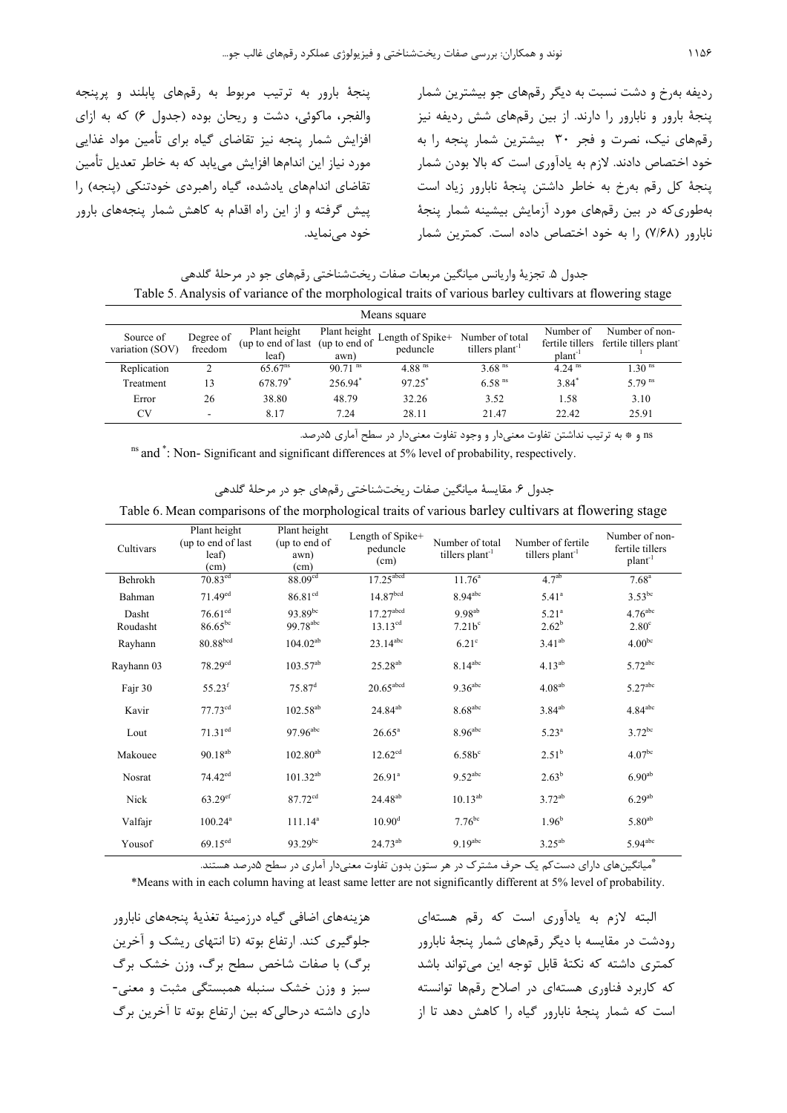پنجة بارور به ترتيب مربوط به رقمهاي پابلند و پرپنجه والفجر، ماكوئي، دشت و ريحان بوده (جدول 6) كه به ازاي افزايش شمار پنجه نيز تقاضاي گياه براي تأمين مواد غذايي مورد نياز اين اندامها افزايش مييابد كه به خاطر تعديل تأمين تقاضاي اندامهاي يادشده، گياه راهبردي خودتنكي (پنجه) را پيش گرفته و از اين راه اقدام به كاهش شمار پنجههاي بارور خود مينمايد.

رديفه بهرخ و دشت نسبت به ديگر رقمهاي جو بيشترين شمار پنجة بارور و نابارور را دارند. از بين رقمهاي شش رديفه نيز رقمهاي نيك، نصرت و فجر 30 بيشترين شمار پنجه را به خود اختصاص دادند. لازم به يادآوري است كه بالا بودن شمار پنجة كل رقم بهرخ به خاطر داشتن پنجة نابارور زياد است بهطوريكه در بين رقمهاي مورد آزمايش بيشينه شمار پنجة نابارور (7/68) را به خود اختصاص داده است. كمترين شمار

جدول ۵. تجزيهٔ واريانس ميانگين مربعات صفات ريختشناختي رقمهاي جو در مرحلهٔ گلدهي Table 5. Analysis of variance of the morphological traits of various barley cultivars at flowering stage

| Means square                 |                      |                                                           |                       |                              |                                                |                                  |                                                         |  |  |  |
|------------------------------|----------------------|-----------------------------------------------------------|-----------------------|------------------------------|------------------------------------------------|----------------------------------|---------------------------------------------------------|--|--|--|
| Source of<br>variation (SOV) | Degree of<br>freedom | Plant height<br>(up to end of last (up to end of<br>leaf) | Plant height<br>awn)  | Length of Spike+<br>peduncle | Number of total<br>tillers plant <sup>-1</sup> | Number of<br>plant <sup>-1</sup> | Number of non-<br>fertile tillers fertile tillers plant |  |  |  |
| Replication                  |                      | $65.67^{ns}$                                              | $90.71$ <sup>ns</sup> | 4.88 <sup>ms</sup>           | $3.68$ <sup>ns</sup>                           | $4.24$ <sup>ns</sup>             | 1.30 <sup>ns</sup>                                      |  |  |  |
| Treatment                    | 13                   | 678.79*                                                   | 256.94*               | 97.25*                       | $6.58$ <sup>ns</sup>                           | $3.84*$                          | $5.79$ <sup>ns</sup>                                    |  |  |  |
| Error                        | 26                   | 38.80                                                     | 48.79                 | 32.26                        | 3.52                                           | 1.58                             | 3.10                                                    |  |  |  |
| CV                           | $\sim$               | 8.17                                                      | 7 24                  | 28.11                        | 21.47                                          | 22.42                            | 25.91                                                   |  |  |  |

ns و \* به ترتيب نداشتن تفاوت معنيدار و وجود تفاوت معنيدار در سطح آماري 5درصد.

ns and  $\dot{\hspace*{0.5cm}}$ : Non-Significant and significant differences at 5% level of probability, respectively.

جدول ۶. مقايسهٔ ميانگين صفات ريختشناختي رقمهاي جو در مرحلهٔ گلدهي

Table 6. Mean comparisons of the morphological traits of various barley cultivars at flowering stage

| Cultivars         | Plant height<br>(up to end of last)<br>leaf)<br>(cm) | Plant height<br>(up to end of<br>awn)<br>(cm) | Length of Spike+<br>peduncle<br>(cm)    | Number of total<br>tillers plant <sup>-1</sup> | Number of fertile<br>tillers plant <sup>-1</sup> | Number of non-<br>fertile tillers<br>plant <sup>-1</sup> |
|-------------------|------------------------------------------------------|-----------------------------------------------|-----------------------------------------|------------------------------------------------|--------------------------------------------------|----------------------------------------------------------|
| Behrokh           | $70.83$ <sup>ed</sup>                                | 88.09 <sup>cd</sup>                           | $17.25$ <sup>abcd</sup>                 | $11.76^a$                                      | 4.7 <sup>ab</sup>                                | 7.68 <sup>a</sup>                                        |
| Bahman            | $71.49$ <sup>ed</sup>                                | 86.81 <sup>cd</sup>                           | 14.87 <sup>bcd</sup>                    | $8.94$ <sup>abc</sup>                          | $5.41^{a}$                                       | $3.53^{bc}$                                              |
| Dasht<br>Roudasht | $76.61$ <sup>cd</sup><br>$86.65^{bc}$                | $93.89^{bc}$<br>99.78 <sup>abc</sup>          | $17.27$ <sup>abcd</sup><br>$13.13^{cd}$ | $9.98^{ab}$<br>$7.21b^c$                       | $5.21^{a}$<br>$2.62^b$                           | $4.76$ <sup>abc</sup><br>2.80 <sup>c</sup>               |
| Rayhann           | 80.88 <sup>bcd</sup>                                 | $104.02^{ab}$                                 | $23.14^{abc}$                           | $6.21^{\circ}$                                 | $3.41^{ab}$                                      | 4.00 <sup>bc</sup>                                       |
| Rayhann 03        | 78.29 <sup>cd</sup>                                  | $103.57^{ab}$                                 | $25.28^{ab}$                            | $8.14^{abc}$                                   | $4.13^{ab}$                                      | $5.72$ <sup>abc</sup>                                    |
| Fajr 30           | $55.23$ <sup>f</sup>                                 | $75.87$ <sup>d</sup>                          | $20.65$ <sup>abcd</sup>                 | $9.36$ <sup>abc</sup>                          | $4.08^{\rm ab}$                                  | $5.27$ <sup>abc</sup>                                    |
| Kavir             | $77.73^{cd}$                                         | $102.58^{ab}$                                 | 24.84 <sup>ab</sup>                     | $8.68^{\rm abc}$                               | $3.84^{ab}$                                      | $4.84^{\text{abc}}$                                      |
| Lout              | $71.31^{\text{ed}}$                                  | $97.96^{abc}$                                 | $26.65^{\circ}$                         | 8.96 <sup>abc</sup>                            | $5.23^{a}$                                       | $3.72^{bc}$                                              |
| Makouee           | $90.18^{\rm ab}$                                     | $102.80^{ab}$                                 | 12.62 <sup>cd</sup>                     | $6.58b^c$                                      | $2.51^{\rm b}$                                   | 4.07 <sup>bc</sup>                                       |
| Nosrat            | $74.42^{ed}$                                         | $101.32^{ab}$                                 | $26.91^a$                               | $9.52^{abc}$                                   | $2.63^{b}$                                       | $6.90^{ab}$                                              |
| Nick              | $63.29$ <sup>ef</sup>                                | $87.72^{cd}$                                  | 24.48 <sup>ab</sup>                     | $10.13^{ab}$                                   | $3.72^{ab}$                                      | $6.29^{ab}$                                              |
| Valfajr           | $100.24^a$                                           | $111.14^{a}$                                  | $10.90^{\rm d}$                         | $7.76^{bc}$                                    | 1.96 <sup>b</sup>                                | $5.80^{ab}$                                              |
| Yousof            | $69.15^{ed}$                                         | $93.29^{bc}$                                  | $24.73^{ab}$                            | $9.19^{abc}$                                   | $3.25^{ab}$                                      | $5.94$ <sup>abc</sup>                                    |

ميانگينهاي داراي دستكم يك حرف مشترك در هر ستون بدون تفاوت معنيدار آماري در سطح 5درصد هستند. \*

\*Means with in each column having at least same letter are not significantly different at 5% level of probability.

هزينههاي اضافي گياه درزمينة تغذية پنجههاي نابارور جلوگيري كند. ارتفاع بوته (تا انتهاي ريشك و آخرين برگ) با صفات شاخص سطح برگ، وزن خشك برگ سبز و وزن خشك سنبله همبستگي مثبت و معني- داري داشته درحاليكه بين ارتفاع بوته تا آخرين برگ

البته لازم به يادآوري است كه رقم هستهاي رودشت در مقايسه با ديگر رقمهاي شمار پنجة نابارور كمتري داشته كه نكتة قابل توجه اين ميتواند باشد كه كاربرد فناوري هستهاي در اصلاح رقمها توانسته است كه شمار پنجة نابارور گياه را كاهش دهد تا از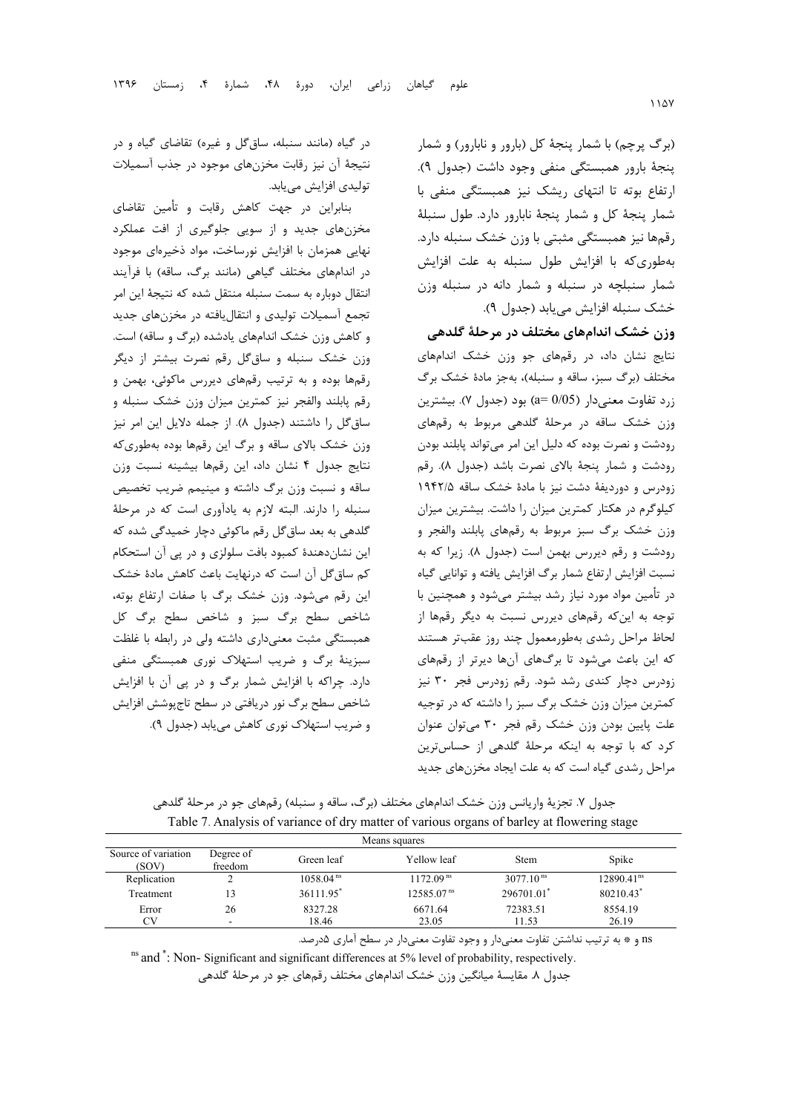(برگ پرچم) با شمار پنجة كل (بارور و نابارور) و شمار پنجة بارور همبستگي منفي وجود داشت (جدول 9). ارتفاع بوته تا انتهاي ريشك نيز همبستگي منفي با شمار پنجة كل و شمار پنجة نابارور دارد. طول سنبلة رقمها نيز همبستگي مثبتي با وزن خشك سنبله دارد. بهطوريكه با افزايش طول سنبله به علت افزايش شمار سنبلچه در سنبله و شمار دانه در سنبله وزن خشك سنبله افزايش مييابد (جدول 9).

**وزن خشك اندامهاي مختلف در مرحلة گلدهي** 

نتايج نشان داد، در رقمهاي جو وزن خشك اندامهاي مختلف (برگ سبز، ساقه و سنبله)، بهجز مادة خشك برگ زرد تفاوت معنيدار (0/05 =a (بود (جدول 7). بيشترين وزن خشك ساقه در مرحلة گلدهي مربوط به رقمهاي رودشت و نصرت بوده كه دليل اين امر ميتواند پابلند بودن رودشت و شمار پنجة بالاي نصرت باشد (جدول 8). رقم زودرس و دورديفة دشت نيز با مادة خشك ساقه 1942/5 كيلوگرم در هكتار كمترين ميزان را داشت. بيشترين ميزان وزن خشك برگ سبز مربوط به رقمهاي پابلند والفجر و رودشت و رقم ديررس بهمن است (جدول 8). زيرا كه به نسبت افزايش ارتفاع شمار برگ افزايش يافته و توانايي گياه در تأمين مواد مورد نياز رشد بيشتر ميشود و همچنين با توجه به اينكه رقمهاي ديررس نسبت به ديگر رقمها از لحاظ مراحل رشدي بهطورمعمول چند روز عقبتر هستند كه اين باعث ميشود تا برگهاي آنها ديرتر از رقمهاي زودرس دچار كندي رشد شود. رقم زودرس فجر 30 نيز كمترين ميزان وزن خشك برگ سبز را داشته كه در توجيه علت پايين بودن وزن خشك رقم فجر 30 ميتوان عنوان كرد كه با توجه به اينكه مرحلة گلدهي از حساسترين مراحل رشدي گياه است كه به علت ايجاد مخزنهاي جديد

در گياه (مانند سنبله، ساقگل و غيره) تقاضاي گياه و در نتيجة آن نيز رقابت مخزنهاي موجود در جذب آسميلات توليدي افزايش مييابد.

بنابراين در جهت كاهش رقابت و تأمين تقاضاي مخزنهاي جديد و از سويي جلوگيري از افت عملكرد نهايي همزمان با افزايش نورساخت، مواد ذخيرهاي موجود در اندامهاي مختلف گياهي (مانند برگ، ساقه) با فرآيند انتقال دوباره به سمت سنبله منتقل شده كه نتيجة اين امر تجمع آسميلات توليدي و انتقاليافته در مخزنهاي جديد و كاهش وزن خشك اندامهاي يادشده (برگ و ساقه) است. وزن خشك سنبله و ساقگل رقم نصرت بيشتر از ديگر رقمها بوده و به ترتيب رقمهاي ديررس ماكوئي، بهمن و رقم پابلند والفجر نيز كمترين ميزان وزن خشك سنبله و ساقگل را داشتند (جدول 8). از جمله دلايل اين امر نيز وزن خشك بالاي ساقه و برگ اين رقمها بوده بهطوريكه نتايج جدول 4 نشان داد، اين رقمها بيشينه نسبت وزن ساقه و نسبت وزن برگ داشته و مينيمم ضريب تخصيص سنبله را دارند. البته لازم به يادآوري است كه در مرحلة گلدهي به بعد ساقگل رقم ماكوئي دچار خميدگي شده كه اين نشاندهندة كمبود بافت سلولزي و در پي آن استحكام كم ساقگل آن است كه درنهايت باعث كاهش مادة خشك اين رقم ميشود. وزن خشك برگ با صفات ارتفاع بوته، شاخص سطح برگ سبز و شاخص سطح برگ كل همبستگي مثبت معنيداري داشته ولي در رابطه با غلظت سبزينة برگ و ضريب استهلاك نوري همبستگي منفي دارد. چراكه با افزايش شمار برگ و در پي آن با افزايش شاخص سطح برگ نور دريافتي در سطح تاجپوشش افزايش و ضريب استهلاك نوري كاهش مييابد (جدول 9).

|                              | Table 7. Analysis of variance of thy matter of various organs of bariey at nowering stage |                       |                        |                                           |                        |  |  |  |  |
|------------------------------|-------------------------------------------------------------------------------------------|-----------------------|------------------------|-------------------------------------------|------------------------|--|--|--|--|
| Means squares                |                                                                                           |                       |                        |                                           |                        |  |  |  |  |
| Source of variation<br>(SOV) | Degree of<br>freedom                                                                      | Green leaf            | Yellow leaf            | <b>Stem</b>                               | Spike                  |  |  |  |  |
| Replication                  |                                                                                           | 1058.04 <sup>ns</sup> | 1172.09 <sup>ns</sup>  | 3077.10 <sup><math>\text{ns}</math></sup> | 12890.41 <sup>ns</sup> |  |  |  |  |
| Treatment                    | 3                                                                                         | 36111.95 <sup>*</sup> | 12585.07 <sup>ns</sup> | 296701.01                                 | 80210.43*              |  |  |  |  |
| Error                        | 26                                                                                        | 8327.28               | 6671.64                | 72383.51                                  | 8554.19                |  |  |  |  |

CV - 18.46 23.05 11.53 26.19

جدول ٧. تجزيهٔ واريانس وزن خشک اندامهاي مختلف (برگ، ساقه و سنبله) رقمهاي جو در مرحلهٔ گلدهي  $Table 7$ . Analysis of variance of dry matter of various organs of barley at  $f$ 

ns و \* به ترتيب نداشتن تفاوت معنيدار و وجود تفاوت معنيدار در سطح آماري 5درصد.

ns and  $\degree$ : Non-Significant and significant differences at 5% level of probability, respectively.

جدول ٨. مقايسهٔ ميانگين وزن خشک اندامهاي مختلف رقمهاي جو در مرحلهٔ گلدهي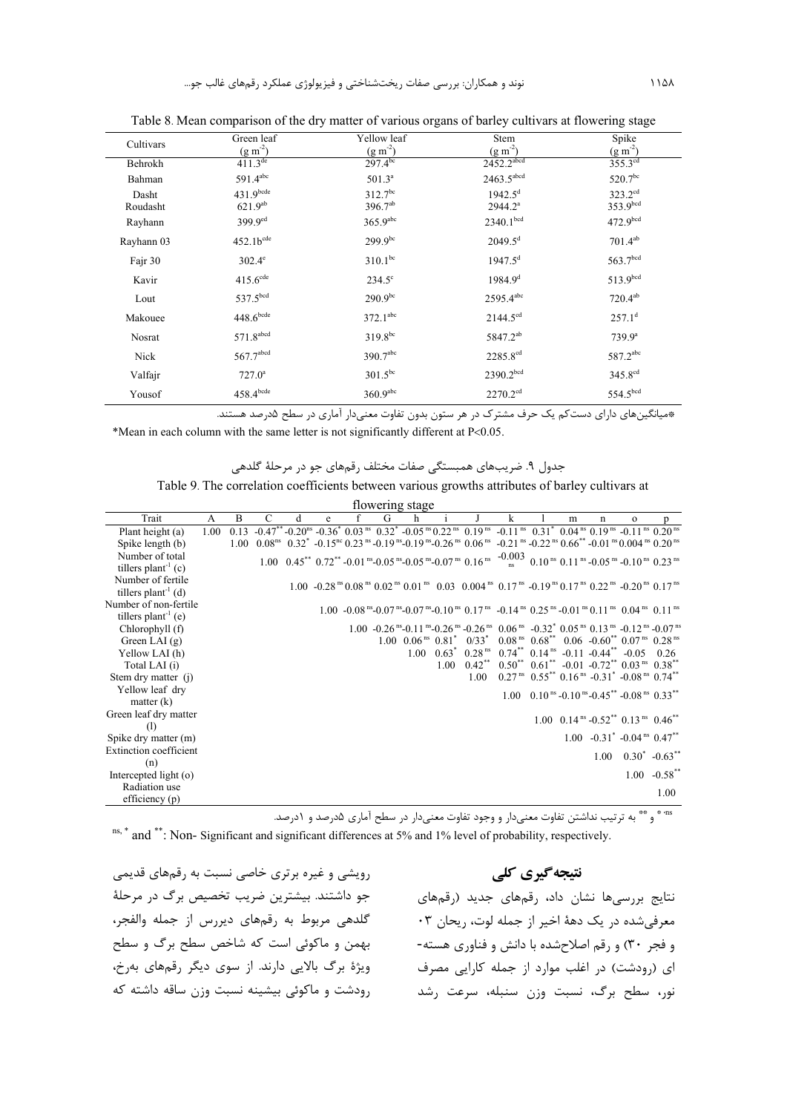| Cultivars  | Green leaf              | Yellow leaf            | Stem                     | Spike                |
|------------|-------------------------|------------------------|--------------------------|----------------------|
|            | $(g m^{-2})$            | $(g m^{-2})$           | $(g m^{-2})$             | $(g m^{-2})$         |
| Behrokh    | $411.3^{de}$            | $297.4^{bc}$           | $2452.2$ <sup>abcd</sup> | $355.3^{cd}$         |
| Bahman     | $591.4^{abc}$           | $501.3^a$              | $2463.5$ <sup>abcd</sup> | 520.7bc              |
| Dasht      | $431.9$ bcde            | $312.7^{bc}$           | $1942.5^{\text{d}}$      | $323.2^{cd}$         |
| Roudasht   | $621.9^{ab}$            | 396.7ab                | $2944.2^a$               | 353.9bcd             |
| Rayhann    | 399.9 <sup>ed</sup>     | $365.9$ <sup>abc</sup> | 2340.1 <sup>bcd</sup>    | 472.9 <sup>bcd</sup> |
| Rayhann 03 | $452.1b^{cde}$          | $299.9^{bc}$           | $2049.5^d$               | $701.4^{ab}$         |
| Fajr 30    | $302.4^{\circ}$         | $310.1^{bc}$           | $1947.5^{d}$             | 563.7 <sup>bcd</sup> |
| Kavir      | $415.6$ <sup>cde</sup>  | $234.5^\circ$          | $1984.9^{d}$             | 513.9bcd             |
| Lout       | 537.5bcd                | $290.9^{bc}$           | 2595.4abc                | $720.4^{ab}$         |
| Makouee    | $448.6$ <sub>bcde</sub> | $372.1^{abc}$          | $2144.5^{cd}$            | $257.1^d$            |
| Nosrat     | $571.8$ <sup>abcd</sup> | $319.8^{bc}$           | 5847.2 <sup>ab</sup>     | $739.9^a$            |
| Nick       | $567.7$ <sup>abcd</sup> | 390.7abc               | 2285.8 <sup>cd</sup>     | 587.2abc             |
| Valfajr    | $727.0^a$               | $301.5^{bc}$           | 2390.2bcd                | 345.8 <sup>cd</sup>  |
| Yousof     | $458.4$ <sup>bcde</sup> | $360.9$ <sup>abc</sup> | 2270.2 <sup>cd</sup>     | 554.5bcd             |

Table 8. Mean comparison of the dry matter of various organs of barley cultivars at flowering stage

\*ميانگينهاي داراي دستكم يك حرف مشترك در هر ستون بدون تفاوت معنيدار آماري در سطح 5درصد هستند.

\*Mean in each column with the same letter is not significantly different at  $P<0.05$ .

جدول ۹. ضريبهاي همبستگي صفات مختلف رقمهاي جو در مرحلهٔ گلدهي

| Table 9. The correlation coefficients between various growths attributes of barley cultivars at |  |  |  |  |
|-------------------------------------------------------------------------------------------------|--|--|--|--|
|-------------------------------------------------------------------------------------------------|--|--|--|--|

| flowering stage                 |      |   |   |   |   |  |   |   |  |                                                                                                                                                                                                                                                                                                                 |   |   |                                                                                                          |                                      |                 |
|---------------------------------|------|---|---|---|---|--|---|---|--|-----------------------------------------------------------------------------------------------------------------------------------------------------------------------------------------------------------------------------------------------------------------------------------------------------------------|---|---|----------------------------------------------------------------------------------------------------------|--------------------------------------|-----------------|
| Trait                           | A    | B | C | d | e |  | G | h |  |                                                                                                                                                                                                                                                                                                                 | k | m | n                                                                                                        | $\mathbf{o}$                         |                 |
| Plant height (a)                | 1.00 |   |   |   |   |  |   |   |  | $0.13$ $-0.47$ <sup>**</sup> $-0.20$ <sup>ns</sup> $-0.36$ <sup>*</sup> $0.03$ <sup>ns</sup> $0.32$ <sup>*</sup> $-0.05$ <sup>ns</sup> $0.22$ <sup>ns</sup> $0.19$ <sup>ns</sup> $-0.11$ <sup>ns</sup> $0.31$ <sup>*</sup> $0.04$ <sup>ns</sup> $0.19$ <sup>ns</sup> $-0.11$ <sup>ns</sup> $0.20$ <sup>ns</sup> |   |   |                                                                                                          |                                      |                 |
| Spike length (b)                |      |   |   |   |   |  |   |   |  | 1.00 $0.08^{ns}$ $0.32^{*}$ $-0.15^{nc}$ $0.23^{ns}$ $-0.19^{ns}$ $-0.19^{ns}$ $-0.26^{ns}$ $0.06^{ns}$ $-0.21^{ns}$ $-0.22^{ns}$ $0.66^{**}$ $-0.01^{ns}$ $0.004^{ns}$ $0.20^{ns}$                                                                                                                             |   |   |                                                                                                          |                                      |                 |
| Number of total                 |      |   |   |   |   |  |   |   |  | 1.00 $0.45^{**}$ $0.72^{**}$ -0.01 <sup>ns</sup> -0.05 <sup>ns</sup> -0.05 <sup>ns</sup> -0.07 <sup>ns</sup> 0.16 <sup>ns</sup> $-0.003$ 0.10 <sup>ns</sup> 0.11 <sup>ns</sup> -0.05 <sup>ns</sup> -0.10 <sup>ns</sup> 0.23 <sup>ns</sup>                                                                       |   |   |                                                                                                          |                                      |                 |
| tillers plant <sup>-1</sup> (c) |      |   |   |   |   |  |   |   |  |                                                                                                                                                                                                                                                                                                                 |   |   |                                                                                                          |                                      |                 |
| Number of fertile               |      |   |   |   |   |  |   |   |  | 1.00 -0.28 <sup>ms</sup> 0.08 <sup>ms</sup> 0.02 <sup>ms</sup> 0.01 <sup>ms</sup> 0.03 0.004 <sup>ms</sup> 0.17 <sup>ms</sup> -0.19 <sup>ms</sup> 0.17 <sup>ms</sup> 0.22 <sup>ms</sup> -0.20 <sup>ms</sup> 0.17 <sup>ms</sup>                                                                                  |   |   |                                                                                                          |                                      |                 |
| tillers plant <sup>-1</sup> (d) |      |   |   |   |   |  |   |   |  |                                                                                                                                                                                                                                                                                                                 |   |   |                                                                                                          |                                      |                 |
| Number of non-fertile           |      |   |   |   |   |  |   |   |  | 1.00 -0.08 <sup>ns</sup> -0.07 <sup>ns</sup> -0.07 <sup>ns</sup> -0.10 <sup>ns</sup> 0.17 <sup>ns</sup> -0.14 <sup>ns</sup> 0.25 <sup>ns</sup> -0.01 <sup>ns</sup> 0.11 <sup>ns</sup> 0.04 <sup>ns</sup> 0.11 <sup>ns</sup>                                                                                     |   |   |                                                                                                          |                                      |                 |
| tillers plant <sup>-1</sup> (e) |      |   |   |   |   |  |   |   |  |                                                                                                                                                                                                                                                                                                                 |   |   |                                                                                                          |                                      |                 |
| Chlorophyll (f)                 |      |   |   |   |   |  |   |   |  | 1.00 -0.26 <sup>ns</sup> -0.11 <sup>ns</sup> -0.26 <sup>ns</sup> -0.26 <sup>ns</sup> -0.26 <sup>ns</sup> 0.06 <sup>ns</sup> -0.32 <sup>*</sup> 0.05 <sup>ns</sup> 0.13 <sup>ns</sup> -0.12 <sup>ns</sup> -0.07 <sup>ns</sup>                                                                                    |   |   |                                                                                                          |                                      |                 |
| Green LAI $(g)$                 |      |   |   |   |   |  |   |   |  | 1.00 $0.06^{ns}$ $0.81^{s}$ $0/33^{s}$ $0.08^{ns}$ $0.68^{**}$ $0.06$ $0.60^{**}$ $0.07^{ns}$ $0.28^{ns}$                                                                                                                                                                                                       |   |   |                                                                                                          |                                      |                 |
| Yellow LAI (h)                  |      |   |   |   |   |  |   |   |  | $1.00 \quad 0.63^* \quad 0.28 \text{ ns} \quad 0.74^{**} \quad 0.14 \text{ ns} \quad -0.11 \quad -0.44^{**} \quad -0.05 \quad 0.26$                                                                                                                                                                             |   |   |                                                                                                          |                                      |                 |
| Total LAI (i)                   |      |   |   |   |   |  |   |   |  | $1.00 \quad 0.42^{**} \quad 0.50^{**} \quad 0.61^{**} \quad -0.01 \quad -0.72^{**} \quad 0.03^{ns} \quad 0.38^{**}$                                                                                                                                                                                             |   |   |                                                                                                          |                                      |                 |
| Stem dry matter (j)             |      |   |   |   |   |  |   |   |  | 1.00                                                                                                                                                                                                                                                                                                            |   |   | $0.27ns$ 0.55 <sup>**</sup> 0.16 <sup>ns</sup> -0.31 <sup>*</sup> -0.08 <sup>ns</sup> 0.74 <sup>**</sup> |                                      |                 |
| Yellow leaf dry                 |      |   |   |   |   |  |   |   |  |                                                                                                                                                                                                                                                                                                                 |   |   | 1.00 0.10 ns -0.10 ns -0.45** -0.08 ns 0.33**                                                            |                                      |                 |
| matter $(k)$                    |      |   |   |   |   |  |   |   |  |                                                                                                                                                                                                                                                                                                                 |   |   |                                                                                                          |                                      |                 |
| Green leaf dry matter           |      |   |   |   |   |  |   |   |  |                                                                                                                                                                                                                                                                                                                 |   |   | 1.00 $0.14^{ns} - 0.52^{**} 0.13^{ns} 0.46^{**}$                                                         |                                      |                 |
| (1)                             |      |   |   |   |   |  |   |   |  |                                                                                                                                                                                                                                                                                                                 |   |   |                                                                                                          |                                      |                 |
| Spike dry matter (m)            |      |   |   |   |   |  |   |   |  |                                                                                                                                                                                                                                                                                                                 |   |   | $1.00 -0.31^* -0.04^{\text{ ns}} 0.47^{**}$                                                              |                                      |                 |
| <b>Extinction coefficient</b>   |      |   |   |   |   |  |   |   |  |                                                                                                                                                                                                                                                                                                                 |   |   |                                                                                                          | $1.00 \quad 0.30^* \quad -0.63^{**}$ |                 |
| (n)                             |      |   |   |   |   |  |   |   |  |                                                                                                                                                                                                                                                                                                                 |   |   |                                                                                                          |                                      |                 |
| Intercepted light $(o)$         |      |   |   |   |   |  |   |   |  |                                                                                                                                                                                                                                                                                                                 |   |   |                                                                                                          |                                      | $1.00 -0.58$ ** |
| Radiation use                   |      |   |   |   |   |  |   |   |  |                                                                                                                                                                                                                                                                                                                 |   |   |                                                                                                          |                                      | 1.00            |
| efficiency $(p)$                |      |   |   |   |   |  |   |   |  |                                                                                                                                                                                                                                                                                                                 |   |   |                                                                                                          |                                      |                 |

یه ته و په استان تفاوت معنیدار و وجود تفاوت معنیدار در سطح آماری ۵درصد و 1درصد. \*\* و به سور 1درصد و 1درصد. \*\*<br>استان و بی سال به سورت بی بی استان و می بی استان و بی استان و بی استان و سال به استان و سال بی استان و ادر

 $n_s$ ,  $*$  and  $*$ : Non- Significant and significant differences at 5% and 1% level of probability, respectively.

رويشي و غيره برتري خاصي نسبت به رقمهاي قديمي جو داشتند. بيشترين ضريب تخصيص برگ در مرحلة گلدهي مربوط به رقمهاي ديررس از جمله والفجر، بهمن و ماكوئي است كه شاخص سطح برگ و سطح ويژة برگ بالايي دارند. از سوي ديگر رقمهاي بهرخ، رودشت و ماكوئي بيشينه نسبت وزن ساقه داشته كه

## **نتيجهگيري كلي**

نتايج بررسيها نشان داد، رقمهاي جديد (رقمهاي معرفيشده در يك دهة اخير از جمله لوت، ريحان 03 و فجر 30) و رقم اصلاحشده با دانش و فناوري هسته- اي (رودشت) در اغلب موارد از جمله كارايي مصرف نور، سطح برگ، نسبت وزن سنبله، سرعت رشد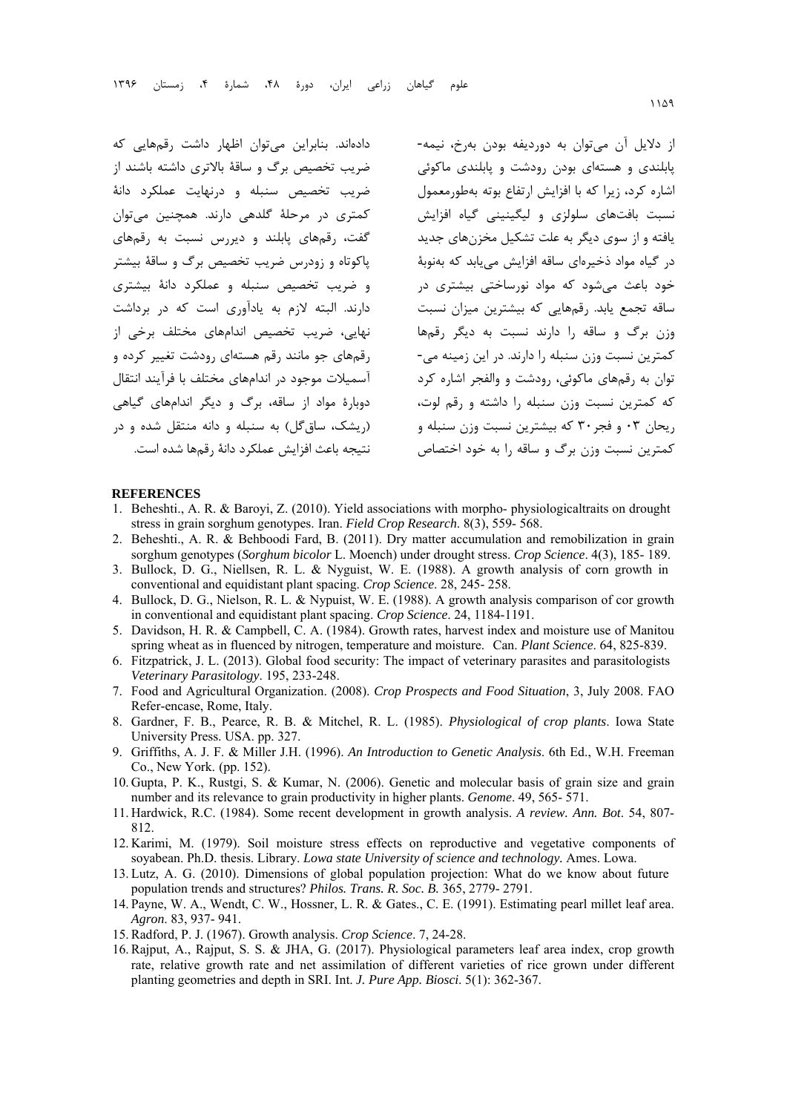دادهاند. بنابراين ميتوان اظهار داشت رقمهايي كه ضريب تخصيص برگ و ساقة بالاتري داشته باشند از ضريب تخصيص سنبله و درنهايت عملكرد دانة كمتري در مرحلة گلدهي دارند. همچنين ميتوان گفت، رقمهاي پابلند و ديررس نسبت به رقمهاي پاكوتاه و زودرس ضريب تخصيص برگ و ساقة بيشتر و ضريب تخصيص سنبله و عملكرد دانة بيشتري دارند. البته لازم به يادآوري است كه در برداشت نهايي، ضريب تخصيص اندامهاي مختلف برخي از رقمهاي جو مانند رقم هستهاي رودشت تغيير كرده و آسميلات موجود در اندامهاي مختلف با فرآيند انتقال دوبارة مواد از ساقه، برگ و ديگر اندامهاي گياهي (ريشك، ساقگل) به سنبله و دانه منتقل شده و در نتيجه باعث افزايش عملكرد دانة رقمها شده است. از دلايل آن ميتوان به دورديفه بودن بهرخ، نيمه- پابلندي و هستهاي بودن رودشت و پابلندي ماكوئي اشاره كرد، زيرا كه با افزايش ارتفاع بوته بهطورمعمول نسبت بافتهاي سلولزي و ليگينيني گياه افزايش يافته و از سوي ديگر به علت تشكيل مخزنهاي جديد در گياه مواد ذخيرهاي ساقه افزايش مييابد كه بهنوبة خود باعث ميشود كه مواد نورساختي بيشتري در ساقه تجمع يابد. رقمهايي كه بيشترين ميزان نسبت وزن برگ و ساقه را دارند نسبت به ديگر رقمها كمترين نسبت وزن سنبله را دارند. در اين زمينه مي- توان به رقمهاي ماكوئي، رودشت و والفجر اشاره كرد كه كمترين نسبت وزن سنبله را داشته و رقم لوت، ريحان 03 و فجر30 كه بيشترين نسبت وزن سنبله و كمترين نسبت وزن برگ و ساقه را به خود اختصاص

#### **REFERENCES**

- 1. Beheshti., A. R. & Baroyi, Z. (2010). Yield associations with morpho- physiologicaltraits on drought stress in grain sorghum genotypes. Iran. *Field Crop Research*. 8(3), 559- 568.
- 2. Beheshti., A. R. & Behboodi Fard, B. (2011). Dry matter accumulation and remobilization in grain sorghum genotypes (*Sorghum bicolor* L. Moench) under drought stress. *Crop Science*. 4(3), 185- 189.
- 3. Bullock, D. G., Niellsen, R. L. & Nyguist, W. E. (1988). A growth analysis of corn growth in conventional and equidistant plant spacing. *Crop Science*. 28, 245- 258.
- 4. Bullock, D. G., Nielson, R. L. & Nypuist, W. E. (1988). A growth analysis comparison of cor growth in conventional and equidistant plant spacing. *Crop Science*. 24, 1184-1191.
- 5. Davidson, H. R. & Campbell, C. A. (1984). Growth rates, harvest index and moisture use of Manitou spring wheat as in fluenced by nitrogen, temperature and moisture. Can. *Plant Science*. 64, 825-839.
- 6. Fitzpatrick, J. L. (2013). Global food security: The impact of veterinary parasites and parasitologists *Veterinary Parasitology*. 195, 233-248.
- 7. Food and Agricultural Organization. (2008). *Crop Prospects and Food Situation*, 3, July 2008. FAO Refer-encase, Rome, Italy.
- 8. Gardner, F. B., Pearce, R. B. & Mitchel, R. L. (1985). *Physiological of crop plants*. Iowa State University Press. USA. pp. 327.
- 9. Griffiths, A. J. F. & Miller J.H. (1996). *An Introduction to Genetic Analysis*. 6th Ed., W.H. Freeman Co., New York. (pp. 152).
- 10. Gupta, P. K., Rustgi, S. & Kumar, N. (2006). Genetic and molecular basis of grain size and grain number and its relevance to grain productivity in higher plants. *Genome*. 49, 565- 571.
- 11. Hardwick, R.C. (1984). Some recent development in growth analysis. *A review. Ann. Bot*. 54, 807- 812.
- 12. Karimi, M. (1979). Soil moisture stress effects on reproductive and vegetative components of soyabean. Ph.D. thesis. Library. *Lowa state University of science and technology.* Ames. Lowa.
- 13. Lutz, A. G. (2010). Dimensions of global population projection: What do we know about future population trends and structures? *Philos. Trans. R. Soc. B.* 365, 2779- 2791.
- 14. Payne, W. A., Wendt, C. W., Hossner, L. R. & Gates., C. E. (1991). Estimating pearl millet leaf area. *Agron*. 83, 937- 941.
- 15. Radford, P. J. (1967). Growth analysis. *Crop Science*. 7, 24-28.
- 16. Rajput, A., Rajput, S. S. & JHA, G. (2017). Physiological parameters leaf area index, crop growth rate, relative growth rate and net assimilation of different varieties of rice grown under different planting geometries and depth in SRI. Int. *J. Pure App. Biosci*. 5(1): 362-367.